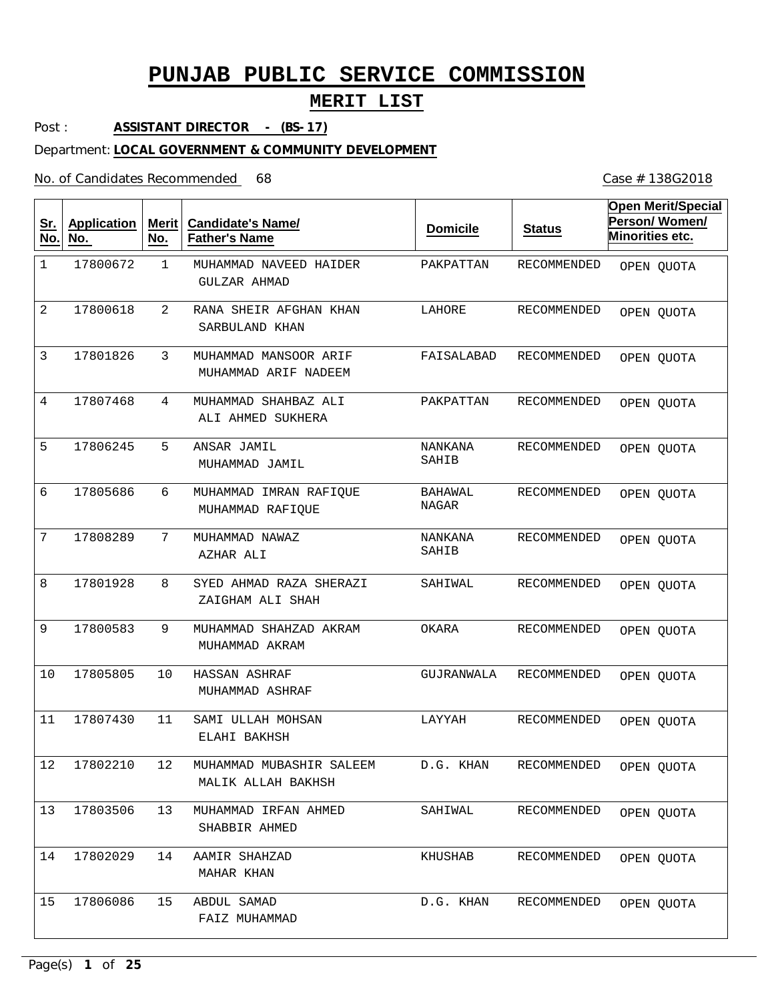## **MERIT LIST**

Post : **ASSISTANT DIRECTOR - (BS-17)**

#### Department: **LOCAL GOVERNMENT & COMMUNITY DEVELOPMENT**

No. of Candidates Recommended

| <u>Sr.</u><br>No. | <b>Application</b><br>No. | Merit<br>No. | <b>Candidate's Name/</b><br><b>Father's Name</b> | <b>Domicile</b>         | <b>Status</b>      | <b>Open Merit/Special</b><br>Person/Women/<br>Minorities etc. |
|-------------------|---------------------------|--------------|--------------------------------------------------|-------------------------|--------------------|---------------------------------------------------------------|
| $\mathbf{1}$      | 17800672                  | $\mathbf{1}$ | MUHAMMAD NAVEED HAIDER<br>GULZAR AHMAD           | PAKPATTAN               | RECOMMENDED        | OPEN QUOTA                                                    |
| 2                 | 17800618                  | 2            | RANA SHEIR AFGHAN KHAN<br>SARBULAND KHAN         | LAHORE                  | RECOMMENDED        | OPEN QUOTA                                                    |
| 3                 | 17801826                  | 3            | MUHAMMAD MANSOOR ARIF<br>MUHAMMAD ARIF NADEEM    | FAISALABAD              | <b>RECOMMENDED</b> | OPEN QUOTA                                                    |
| 4                 | 17807468                  | 4            | MUHAMMAD SHAHBAZ ALI<br>ALI AHMED SUKHERA        | PAKPATTAN               | RECOMMENDED        | OPEN QUOTA                                                    |
| 5                 | 17806245                  | 5            | ANSAR JAMIL<br>MUHAMMAD JAMIL                    | NANKANA<br>SAHIB        | RECOMMENDED        | OPEN QUOTA                                                    |
| 6                 | 17805686                  | 6            | MUHAMMAD IMRAN RAFIQUE<br>MUHAMMAD RAFIQUE       | BAHAWAL<br>NAGAR        | RECOMMENDED        | OPEN QUOTA                                                    |
| 7                 | 17808289                  | 7            | MUHAMMAD NAWAZ<br>AZHAR ALI                      | <b>NANKANA</b><br>SAHIB | RECOMMENDED        | OPEN QUOTA                                                    |
| 8                 | 17801928                  | 8            | SYED AHMAD RAZA SHERAZI<br>ZAIGHAM ALI SHAH      | SAHIWAL                 | RECOMMENDED        | OPEN QUOTA                                                    |
| 9                 | 17800583                  | 9            | MUHAMMAD SHAHZAD AKRAM<br>MUHAMMAD AKRAM         | OKARA                   | RECOMMENDED        | OPEN QUOTA                                                    |
| 10                | 17805805                  | 10           | HASSAN ASHRAF<br>MUHAMMAD ASHRAF                 | GUJRANWALA              | RECOMMENDED        | OPEN QUOTA                                                    |
| 11                | 17807430                  | 11           | SAMI ULLAH MOHSAN<br>ELAHI BAKHSH                | LAYYAH                  | RECOMMENDED        | OPEN QUOTA                                                    |
| $12\,$            | 17802210                  | 12           | MUHAMMAD MUBASHIR SALEEM<br>MALIK ALLAH BAKHSH   | D.G. KHAN               | RECOMMENDED        | OPEN QUOTA                                                    |
| 13                | 17803506                  | 13           | MUHAMMAD IRFAN AHMED<br>SHABBIR AHMED            | SAHIWAL                 | RECOMMENDED        | OPEN QUOTA                                                    |
| 14                | 17802029                  | 14           | AAMIR SHAHZAD<br>MAHAR KHAN                      | KHUSHAB                 | RECOMMENDED        | OPEN QUOTA                                                    |
| 15                | 17806086                  | 15           | ABDUL SAMAD<br>FAIZ MUHAMMAD                     | D.G. KHAN               | RECOMMENDED        | OPEN QUOTA                                                    |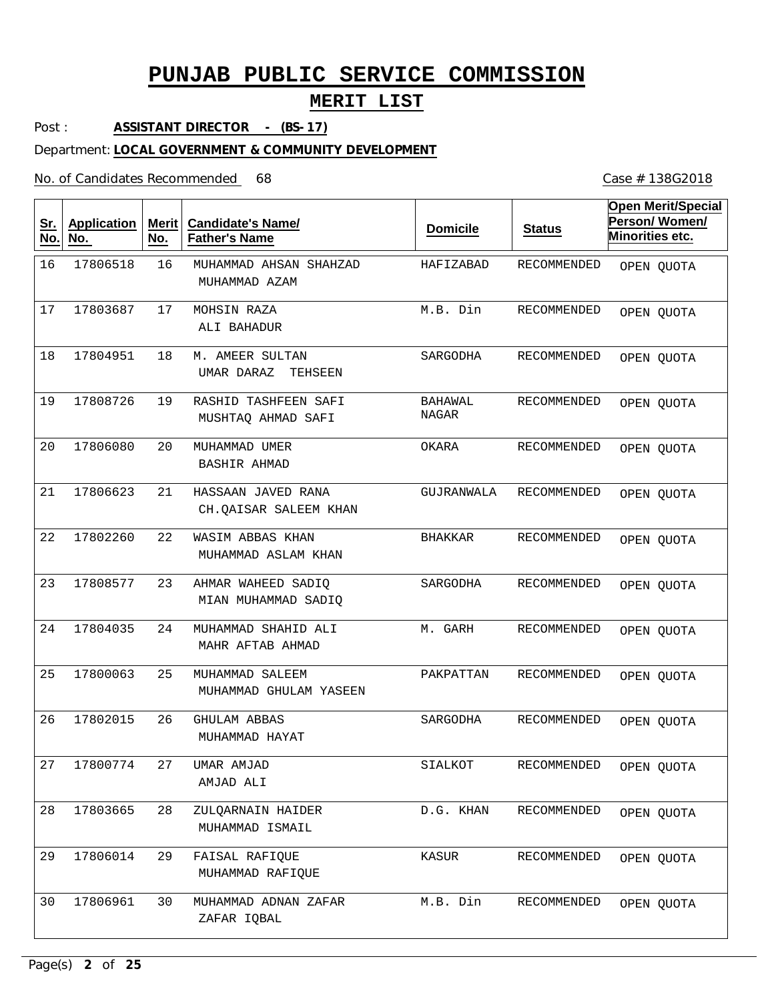## **MERIT LIST**

Post : **ASSISTANT DIRECTOR - (BS-17)**

#### Department: **LOCAL GOVERNMENT & COMMUNITY DEVELOPMENT**

No. of Candidates Recommended

| <u>Sr.</u><br>No. | <b>Application</b><br>No. | <b>Merit</b><br>No. | <b>Candidate's Name/</b><br><b>Father's Name</b> | <b>Domicile</b>  | <b>Status</b> | <b>Open Merit/Special</b><br>Person/Women/<br>Minorities etc. |
|-------------------|---------------------------|---------------------|--------------------------------------------------|------------------|---------------|---------------------------------------------------------------|
| 16                | 17806518                  | 16                  | MUHAMMAD AHSAN SHAHZAD<br>MUHAMMAD AZAM          | HAFIZABAD        | RECOMMENDED   | OPEN QUOTA                                                    |
| 17                | 17803687                  | 17                  | MOHSIN RAZA<br>ALI BAHADUR                       | M.B. Din         | RECOMMENDED   | OPEN QUOTA                                                    |
| 18                | 17804951                  | 18                  | M. AMEER SULTAN<br>UMAR DARAZ<br>TEHSEEN         | SARGODHA         | RECOMMENDED   | OPEN QUOTA                                                    |
| 19                | 17808726                  | 19                  | RASHID TASHFEEN SAFI<br>MUSHTAQ AHMAD SAFI       | BAHAWAL<br>NAGAR | RECOMMENDED   | OPEN QUOTA                                                    |
| 20                | 17806080                  | 20                  | MUHAMMAD UMER<br><b>BASHIR AHMAD</b>             | OKARA            | RECOMMENDED   | OPEN QUOTA                                                    |
| 21                | 17806623                  | 21                  | HASSAAN JAVED RANA<br>CH.QAISAR SALEEM KHAN      | GUJRANWALA       | RECOMMENDED   | OPEN QUOTA                                                    |
| 22                | 17802260                  | 22                  | WASIM ABBAS KHAN<br>MUHAMMAD ASLAM KHAN          | <b>BHAKKAR</b>   | RECOMMENDED   | OPEN QUOTA                                                    |
| 23                | 17808577                  | 23                  | AHMAR WAHEED SADIQ<br>MIAN MUHAMMAD SADIQ        | SARGODHA         | RECOMMENDED   | OPEN QUOTA                                                    |
| 24                | 17804035                  | 24                  | MUHAMMAD SHAHID ALI<br>MAHR AFTAB AHMAD          | M. GARH          | RECOMMENDED   | OPEN QUOTA                                                    |
| 25                | 17800063                  | 25                  | MUHAMMAD SALEEM<br>MUHAMMAD GHULAM YASEEN        | PAKPATTAN        | RECOMMENDED   | OPEN QUOTA                                                    |
| 26                | 17802015                  | 26                  | GHULAM ABBAS<br>MUHAMMAD HAYAT                   | SARGODHA         | RECOMMENDED   | OPEN QUOTA                                                    |
| 27                | 17800774                  | 27                  | UMAR AMJAD<br>AMJAD ALI                          | SIALKOT          | RECOMMENDED   | OPEN QUOTA                                                    |
| 28                | 17803665                  | 28                  | ZULQARNAIN HAIDER<br>MUHAMMAD ISMAIL             | D.G. KHAN        | RECOMMENDED   | OPEN QUOTA                                                    |
| 29                | 17806014                  | 29                  | FAISAL RAFIQUE<br>MUHAMMAD RAFIQUE               | KASUR            | RECOMMENDED   | OPEN QUOTA                                                    |
| 30                | 17806961                  | 30                  | MUHAMMAD ADNAN ZAFAR<br>ZAFAR IQBAL              | M.B. Din         | RECOMMENDED   | OPEN QUOTA                                                    |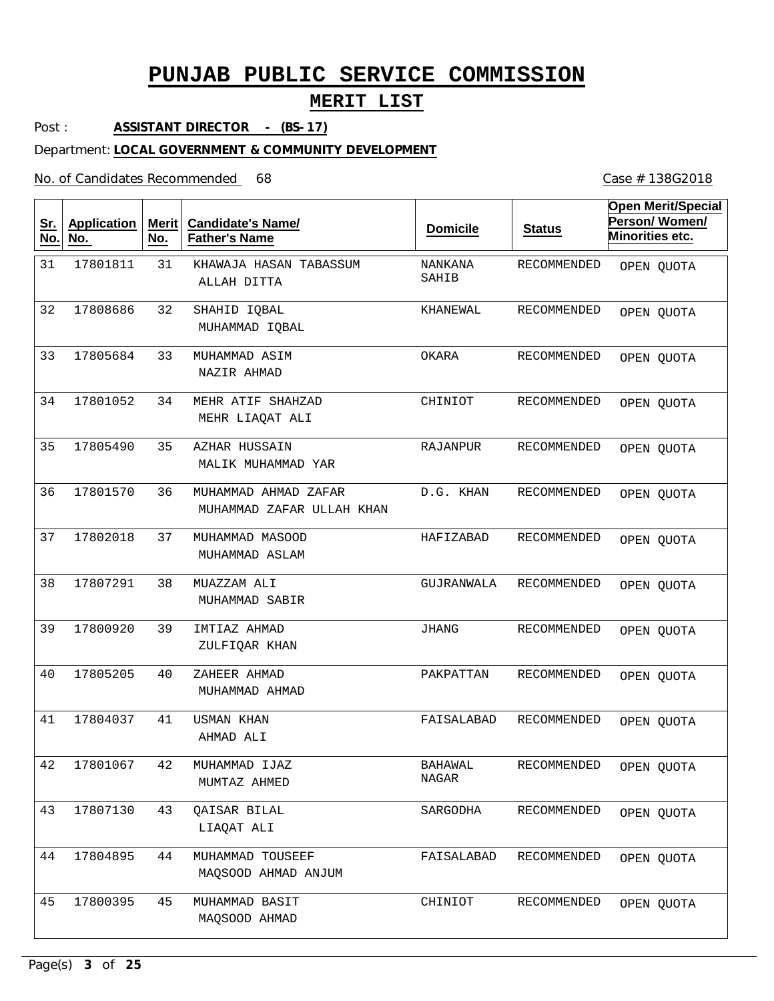## **MERIT LIST**

Post : **ASSISTANT DIRECTOR - (BS-17)**

#### Department: **LOCAL GOVERNMENT & COMMUNITY DEVELOPMENT**

No. of Candidates Recommended

| <u>Sr.</u><br>No. | <b>Application</b><br>No. | Merit<br>No. | <b>Candidate's Name/</b><br><b>Father's Name</b>  | <b>Domicile</b>         | <b>Status</b>      | <b>Open Merit/Special</b><br>Person/Women/<br>Minorities etc. |
|-------------------|---------------------------|--------------|---------------------------------------------------|-------------------------|--------------------|---------------------------------------------------------------|
| 31                | 17801811                  | 31           | KHAWAJA HASAN TABASSUM<br>ALLAH DITTA             | NANKANA<br>SAHIB        | <b>RECOMMENDED</b> | OPEN QUOTA                                                    |
| 32                | 17808686                  | 32           | SHAHID IQBAL<br>MUHAMMAD IQBAL                    | KHANEWAL                | RECOMMENDED        | OPEN QUOTA                                                    |
| 33                | 17805684                  | 33           | MUHAMMAD ASIM<br>NAZIR AHMAD                      | OKARA                   | RECOMMENDED        | OPEN QUOTA                                                    |
| 34                | 17801052                  | 34           | MEHR ATIF SHAHZAD<br>MEHR LIAQAT ALI              | CHINIOT                 | RECOMMENDED        | OPEN QUOTA                                                    |
| 35                | 17805490                  | 35           | AZHAR HUSSAIN<br>MALIK MUHAMMAD YAR               | RAJANPUR                | RECOMMENDED        | OPEN QUOTA                                                    |
| 36                | 17801570                  | 36           | MUHAMMAD AHMAD ZAFAR<br>MUHAMMAD ZAFAR ULLAH KHAN | D.G. KHAN               | RECOMMENDED        | OPEN QUOTA                                                    |
| 37                | 17802018                  | 37           | MUHAMMAD MASOOD<br>MUHAMMAD ASLAM                 | HAFIZABAD               | RECOMMENDED        | OPEN QUOTA                                                    |
| 38                | 17807291                  | 38           | MUAZZAM ALI<br>MUHAMMAD SABIR                     | GUJRANWALA              | RECOMMENDED        | OPEN QUOTA                                                    |
| 39                | 17800920                  | 39           | IMTIAZ AHMAD<br>ZULFIQAR KHAN                     | JHANG                   | RECOMMENDED        | OPEN QUOTA                                                    |
| 40                | 17805205                  | 40           | ZAHEER AHMAD<br>MUHAMMAD AHMAD                    | PAKPATTAN               | RECOMMENDED        | OPEN QUOTA                                                    |
| 41                | 17804037                  | 41           | USMAN KHAN<br>AHMAD ALI                           | FAISALABAD              | RECOMMENDED        | OPEN QUOTA                                                    |
| 42                | 17801067                  | 42           | MUHAMMAD IJAZ<br>MUMTAZ AHMED                     | <b>BAHAWAL</b><br>NAGAR | RECOMMENDED        | OPEN QUOTA                                                    |
| 43                | 17807130                  | 43           | OAISAR BILAL<br>LIAQAT ALI                        | SARGODHA                | RECOMMENDED        | OPEN QUOTA                                                    |
| 44                | 17804895                  | 44           | MUHAMMAD TOUSEEF<br>MAQSOOD AHMAD ANJUM           | FAISALABAD              | RECOMMENDED        | OPEN QUOTA                                                    |
| 45                | 17800395                  | 45           | MUHAMMAD BASIT<br>MAOSOOD AHMAD                   | CHINIOT                 | RECOMMENDED        | OPEN QUOTA                                                    |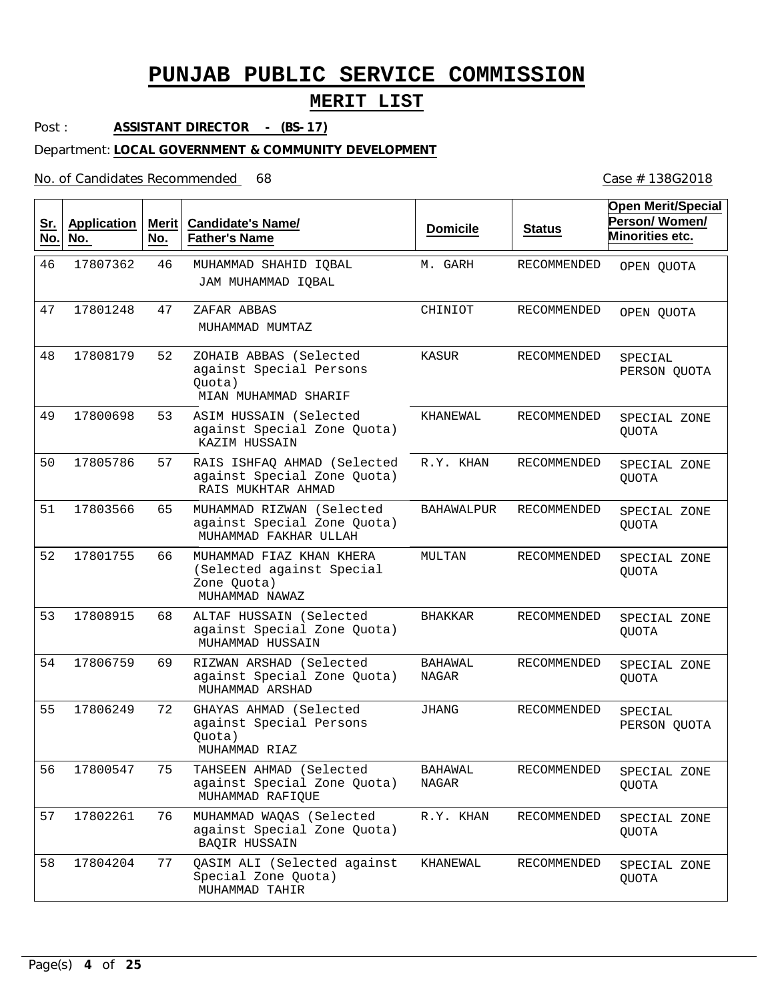## **MERIT LIST**

Post : **ASSISTANT DIRECTOR - (BS-17)**

#### Department: **LOCAL GOVERNMENT & COMMUNITY DEVELOPMENT**

No. of Candidates Recommended

| <u>Sr.</u><br>No. | <b>Application</b><br>No. | <b>Merit</b><br>No. | <b>Candidate's Name/</b><br><b>Father's Name</b>                                       | <b>Domicile</b>  | <b>Status</b>      | <b>Open Merit/Special</b><br>Person/Women/<br>Minorities etc. |
|-------------------|---------------------------|---------------------|----------------------------------------------------------------------------------------|------------------|--------------------|---------------------------------------------------------------|
| 46                | 17807362                  | 46                  | MUHAMMAD SHAHID IQBAL<br>JAM MUHAMMAD IQBAL                                            | M. GARH          | RECOMMENDED        | OPEN QUOTA                                                    |
| 47                | 17801248                  | 47                  | ZAFAR ABBAS<br>MUHAMMAD MUMTAZ                                                         | CHINIOT          | RECOMMENDED        | OPEN QUOTA                                                    |
| 48                | 17808179                  | 52                  | ZOHAIB ABBAS (Selected<br>against Special Persons<br>Quota)<br>MIAN MUHAMMAD SHARIF    | KASUR            | <b>RECOMMENDED</b> | SPECIAL<br>PERSON QUOTA                                       |
| 49                | 17800698                  | 53                  | ASIM HUSSAIN (Selected<br>against Special Zone Quota)<br>KAZIM HUSSAIN                 | KHANEWAL         | RECOMMENDED        | SPECIAL ZONE<br><b>QUOTA</b>                                  |
| 50                | 17805786                  | 57                  | RAIS ISHFAQ AHMAD (Selected<br>against Special Zone Quota)<br>RAIS MUKHTAR AHMAD       | R.Y. KHAN        | RECOMMENDED        | SPECIAL ZONE<br><b>OUOTA</b>                                  |
| 51                | 17803566                  | 65                  | MUHAMMAD RIZWAN (Selected<br>against Special Zone Quota)<br>MUHAMMAD FAKHAR ULLAH      | BAHAWALPUR       | RECOMMENDED        | SPECIAL ZONE<br>QUOTA                                         |
| 52                | 17801755                  | 66                  | MUHAMMAD FIAZ KHAN KHERA<br>(Selected against Special<br>Zone Quota)<br>MUHAMMAD NAWAZ | MULTAN           | RECOMMENDED        | SPECIAL ZONE<br><b>QUOTA</b>                                  |
| 53                | 17808915                  | 68                  | ALTAF HUSSAIN (Selected<br>against Special Zone Quota)<br>MUHAMMAD HUSSAIN             | <b>BHAKKAR</b>   | RECOMMENDED        | SPECIAL ZONE<br>QUOTA                                         |
| 54                | 17806759                  | 69                  | RIZWAN ARSHAD (Selected<br>against Special Zone Quota)<br>MUHAMMAD ARSHAD              | BAHAWAL<br>NAGAR | RECOMMENDED        | SPECIAL ZONE<br><b>QUOTA</b>                                  |
| 55                | 17806249                  | 72                  | GHAYAS AHMAD (Selected<br>against Special Persons<br>Quota)<br>MUHAMMAD RIAZ           | JHANG            | RECOMMENDED        | SPECIAL<br>PERSON QUOTA                                       |
| 56                | 17800547                  | 75                  | TAHSEEN AHMAD (Selected<br>against Special Zone Quota)<br>MUHAMMAD RAFIQUE             | BAHAWAL<br>NAGAR | RECOMMENDED        | SPECIAL ZONE<br>QUOTA                                         |
| 57                | 17802261                  | 76                  | MUHAMMAD WAQAS (Selected<br>against Special Zone Quota)<br>BAQIR HUSSAIN               | R.Y. KHAN        | RECOMMENDED        | SPECIAL ZONE<br>QUOTA                                         |
| 58                | 17804204                  | 77                  | QASIM ALI (Selected against<br>Special Zone Quota)<br>MUHAMMAD TAHIR                   | KHANEWAL         | RECOMMENDED        | SPECIAL ZONE<br>QUOTA                                         |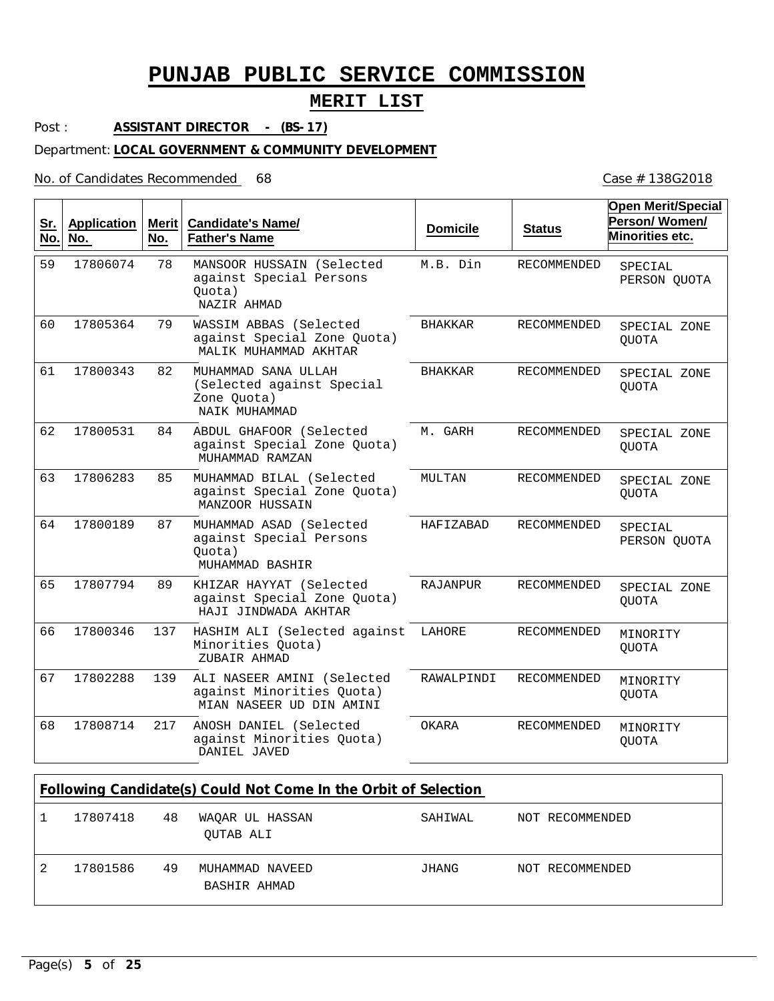## **MERIT LIST**

Post : **ASSISTANT DIRECTOR - (BS-17)**

#### Department: **LOCAL GOVERNMENT & COMMUNITY DEVELOPMENT**

No. of Candidates Recommended 68

| <u>Sr.</u><br>No. | <b>Application</b><br>No. | Merit<br>No. | <b>Candidate's Name/</b><br><b>Father's Name</b>                                    | <b>Domicile</b> | <b>Status</b>      | <b>Open Merit/Special</b><br>Person/Women/<br>Minorities etc. |
|-------------------|---------------------------|--------------|-------------------------------------------------------------------------------------|-----------------|--------------------|---------------------------------------------------------------|
| 59                | 17806074                  | 78           | MANSOOR HUSSAIN (Selected<br>against Special Persons<br>Quota)<br>NAZIR AHMAD       | M.B. Din        | <b>RECOMMENDED</b> | SPECIAL<br>PERSON QUOTA                                       |
| 60                | 17805364                  | 79           | WASSIM ABBAS (Selected<br>against Special Zone Quota)<br>MALIK MUHAMMAD AKHTAR      | <b>BHAKKAR</b>  | <b>RECOMMENDED</b> | SPECIAL ZONE<br><b>OUOTA</b>                                  |
| 61                | 17800343                  | 82           | MUHAMMAD SANA ULLAH<br>(Selected against Special<br>Zone Quota)<br>NAIK MUHAMMAD    | <b>BHAKKAR</b>  | RECOMMENDED        | SPECIAL ZONE<br><b>OUOTA</b>                                  |
| 62                | 17800531                  | 84           | ABDUL GHAFOOR (Selected<br>against Special Zone Quota)<br>MUHAMMAD RAMZAN           | M. GARH         | RECOMMENDED        | SPECIAL ZONE<br>QUOTA                                         |
| 63                | 17806283                  | 85           | MUHAMMAD BILAL (Selected<br>against Special Zone Quota)<br>MANZOOR HUSSAIN          | MULTAN          | RECOMMENDED        | SPECIAL ZONE<br><b>OUOTA</b>                                  |
| 64                | 17800189                  | 87           | MUHAMMAD ASAD (Selected<br>against Special Persons<br>Ouota)<br>MUHAMMAD BASHIR     | HAFIZABAD       | <b>RECOMMENDED</b> | SPECIAL<br>PERSON QUOTA                                       |
| 65                | 17807794                  | 89           | KHIZAR HAYYAT (Selected<br>against Special Zone Quota)<br>HAJI JINDWADA AKHTAR      | RAJANPUR        | <b>RECOMMENDED</b> | SPECIAL ZONE<br><b>OUOTA</b>                                  |
| 66                | 17800346                  | 137          | HASHIM ALI (Selected against<br>Minorities Ouota)<br>ZUBAIR AHMAD                   | LAHORE          | <b>RECOMMENDED</b> | MINORITY<br><b>QUOTA</b>                                      |
| 67                | 17802288                  | 139          | ALI NASEER AMINI (Selected<br>against Minorities Quota)<br>MIAN NASEER UD DIN AMINI | RAWALPINDI      | RECOMMENDED        | MINORITY<br><b>QUOTA</b>                                      |
| 68                | 17808714                  | 217          | ANOSH DANIEL (Selected<br>against Minorities Quota)<br>DANIEL JAVED                 | OKARA           | <b>RECOMMENDED</b> | MINORITY<br><b>QUOTA</b>                                      |

|   | Following Candidate(s) Could Not Come In the Orbit of Selection |    |                                 |         |  |                 |
|---|-----------------------------------------------------------------|----|---------------------------------|---------|--|-----------------|
|   | 17807418                                                        | 48 | WAOAR UL HASSAN<br>OUTAB ALI    | SAHIWAL |  | NOT RECOMMENDED |
| 2 | 17801586                                                        | 49 | MUHAMMAD NAVEED<br>BASHIR AHMAD | JHANG   |  | NOT RECOMMENDED |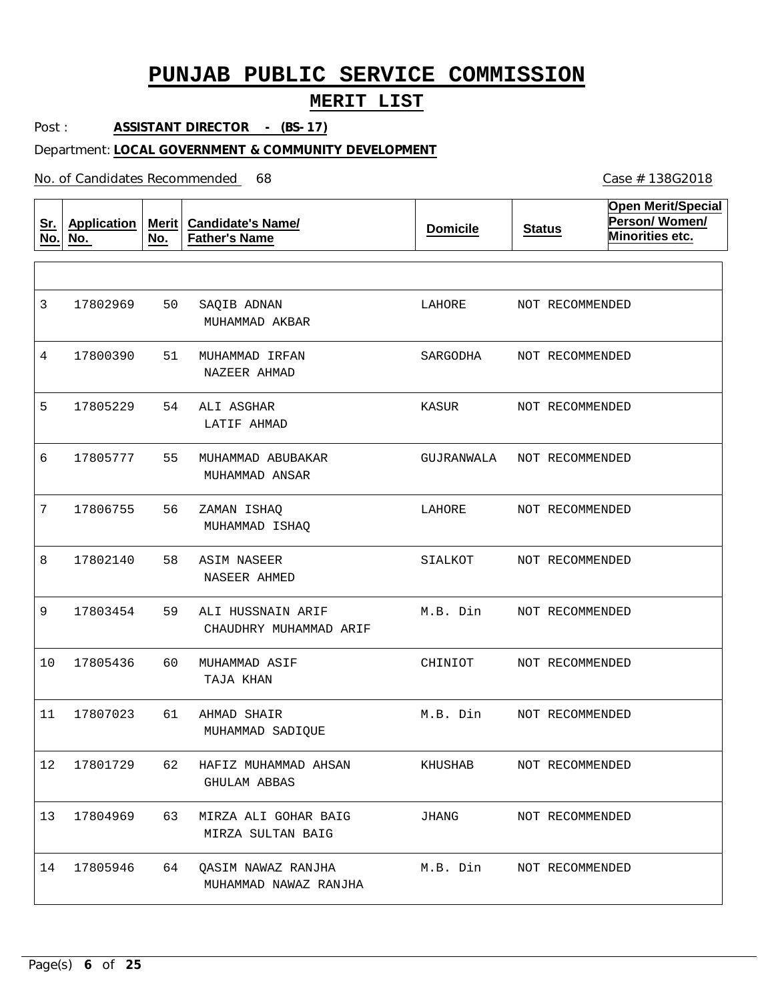### **MERIT LIST**

Post : **ASSISTANT DIRECTOR - (BS-17)**

#### Department: **LOCAL GOVERNMENT & COMMUNITY DEVELOPMENT**

No. of Candidates Recommended

| <u>Sr.</u><br>No. | <b>Application</b><br>No. | Merit  <br>No. | <b>Candidate's Name/</b><br><b>Father's Name</b> | <b>Domicile</b> | <b>Status</b>   | <b>Open Merit/Special</b><br>Person/Women/<br>Minorities etc. |
|-------------------|---------------------------|----------------|--------------------------------------------------|-----------------|-----------------|---------------------------------------------------------------|
|                   |                           |                |                                                  |                 |                 |                                                               |
| 3                 | 17802969                  | 50             | SAQIB ADNAN<br>MUHAMMAD AKBAR                    | LAHORE          | NOT RECOMMENDED |                                                               |
| 4                 | 17800390                  | 51             | MUHAMMAD IRFAN<br>NAZEER AHMAD                   | SARGODHA        | NOT RECOMMENDED |                                                               |
| 5                 | 17805229                  | 54             | ALI ASGHAR<br>LATIF AHMAD                        | KASUR           | NOT RECOMMENDED |                                                               |
| 6                 | 17805777                  | 55             | MUHAMMAD ABUBAKAR<br>MUHAMMAD ANSAR              | GUJRANWALA      | NOT RECOMMENDED |                                                               |
| 7                 | 17806755                  | 56             | ZAMAN ISHAO<br>MUHAMMAD ISHAQ                    | LAHORE          | NOT RECOMMENDED |                                                               |
| 8                 | 17802140                  | 58             | ASIM NASEER<br>NASEER AHMED                      | SIALKOT         | NOT RECOMMENDED |                                                               |
| 9                 | 17803454                  | 59             | ALI HUSSNAIN ARIF<br>CHAUDHRY MUHAMMAD ARIF      | M.B. Din        | NOT RECOMMENDED |                                                               |
| 10                | 17805436                  | 60             | MUHAMMAD ASIF<br>TAJA KHAN                       | CHINIOT         | NOT RECOMMENDED |                                                               |
| 11                | 17807023                  | 61             | AHMAD SHAIR<br>MUHAMMAD SADIQUE                  | M.B. Din        | NOT RECOMMENDED |                                                               |
| 12                | 17801729                  | 62             | HAFIZ MUHAMMAD AHSAN<br>GHULAM ABBAS             | KHUSHAB         | NOT RECOMMENDED |                                                               |
| 13                | 17804969                  | 63             | MIRZA ALI GOHAR BAIG<br>MIRZA SULTAN BAIG        | JHANG           | NOT RECOMMENDED |                                                               |
| 14                | 17805946                  | 64             | QASIM NAWAZ RANJHA<br>MUHAMMAD NAWAZ RANJHA      | M.B. Din        | NOT RECOMMENDED |                                                               |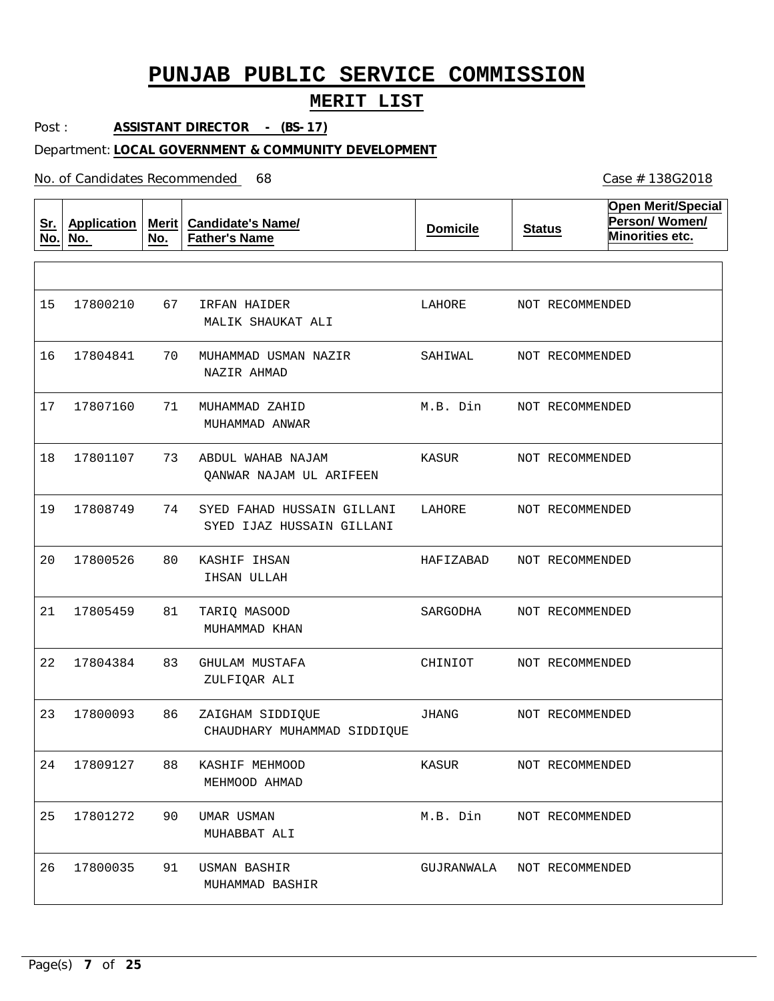### **MERIT LIST**

Post : **ASSISTANT DIRECTOR - (BS-17)**

#### Department: **LOCAL GOVERNMENT & COMMUNITY DEVELOPMENT**

No. of Candidates Recommended

**Sr. No. Application No. Merit No. Candidate's Name/ Father's Name Domicile Status Open Merit/Special Person/ Women/ Minorities etc.** 67 70 MUHAMMAD USMAN NAZIR 71 73 74 80 81 83 86 88 90 91 IRFAN HAIDER MUHAMMAD ZAHID ABDUL WAHAB NAJAM SYED FAHAD HUSSAIN GILLANI KASHIF IHSAN TARIQ MASOOD GHULAM MUSTAFA ZAIGHAM SIDDIQUE KASHIF MEHMOOD UMAR USMAN USMAN BASHIR MALIK SHAUKAT ALI NAZIR AHMAD MUHAMMAD ANWAR QANWAR NAJAM UL ARIFEEN SYED IJAZ HUSSAIN GILLANI IHSAN ULLAH MUHAMMAD KHAN ZULFIQAR ALI CHAUDHARY MUHAMMAD SIDDIQUE MEHMOOD AHMAD MUHABBAT ALI MUHAMMAD BASHIR 15 16 17804841 17 18 19  $20$ 21 22 17804384 23 24 17809127 25 26 17800210 17807160 17801107 17808749 17800526 17805459 17800093 17801272 17800035 LAHORE SAHIWAL M.B. Din KASUR LAHORE HAFIZABAD SARGODHA CHINIOT JHANG KASUR M.B. Din GUJRANWALA NOT RECOMMENDED NOT RECOMMENDED NOT RECOMMENDED NOT RECOMMENDED NOT RECOMMENDED NOT RECOMMENDED NOT RECOMMENDED NOT RECOMMENDED NOT RECOMMENDED NOT RECOMMENDED NOT RECOMMENDED NOT RECOMMENDED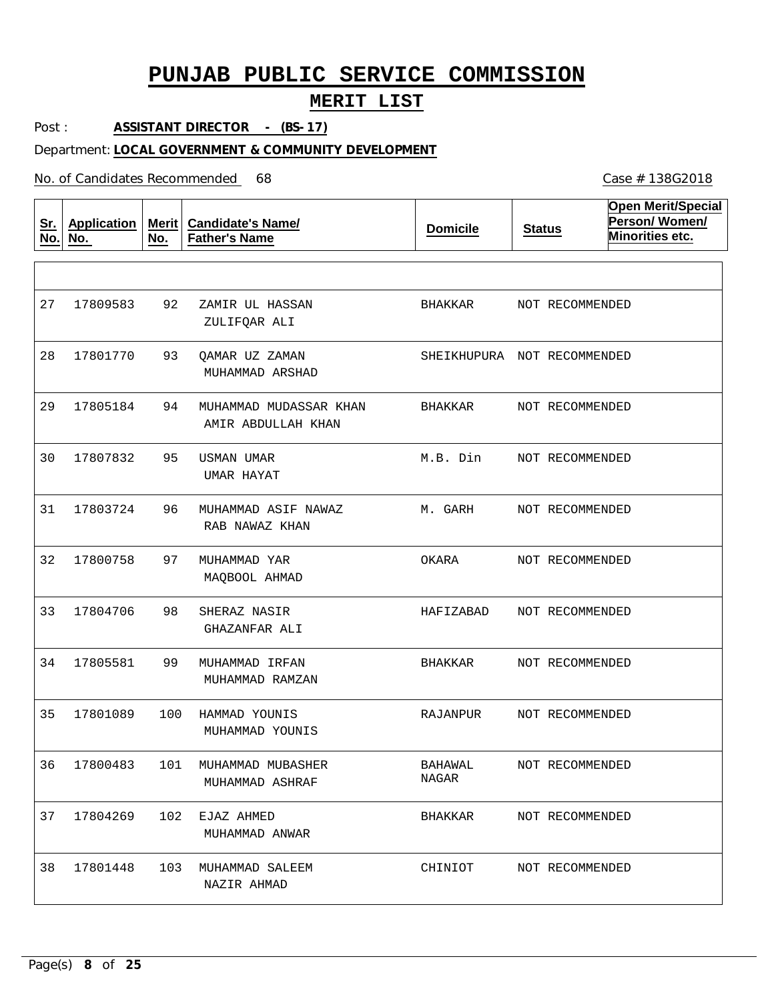### **MERIT LIST**

Post : **ASSISTANT DIRECTOR - (BS-17)**

#### Department: **LOCAL GOVERNMENT & COMMUNITY DEVELOPMENT**

No. of Candidates Recommended

**Sr. No. Application No. Merit No. Candidate's Name/ Father's Name Domicile Status Open Merit/Special Person/ Women/ Minorities etc.** 92 93 94 95 96 97 98 99 100 HAMMAD YOUNIS 101 MUHAMMAD MUBASHER 102 EJAZ AHMED 103 MUHAMMAD SALEEM ZAMIR UL HASSAN QAMAR UZ ZAMAN MUHAMMAD MUDASSAR KHAN USMAN UMAR MUHAMMAD ASIF NAWAZ MUHAMMAD YAR SHERAZ NASIR MUHAMMAD IRFAN ZULIFQAR ALI MUHAMMAD ARSHAD AMIR ABDULLAH KHAN UMAR HAYAT RAB NAWAZ KHAN MAQBOOL AHMAD GHAZANFAR ALI MUHAMMAD RAMZAN MUHAMMAD YOUNIS MUHAMMAD ASHRAF MUHAMMAD ANWAR NAZIR AHMAD 27 28 17801770 29 30 31 32 33 34 17805581 35 36 37 17804269 38 17809583 17805184 17807832 17803724 17800758 17804706 17801089 17800483 17801448 BHAKKAR SHEIKHUPURA NOT RECOMMENDED BHAKKAR M.B. Din M. GARH OKARA HAFIZABAD BHAKKAR RAJANPUR BAHAWAL NAGAR BHAKKAR CHINIOT NOT RECOMMENDED NOT RECOMMENDED NOT RECOMMENDED NOT RECOMMENDED NOT RECOMMENDED NOT RECOMMENDED NOT RECOMMENDED NOT RECOMMENDED NOT RECOMMENDED NOT RECOMMENDED NOT RECOMMENDED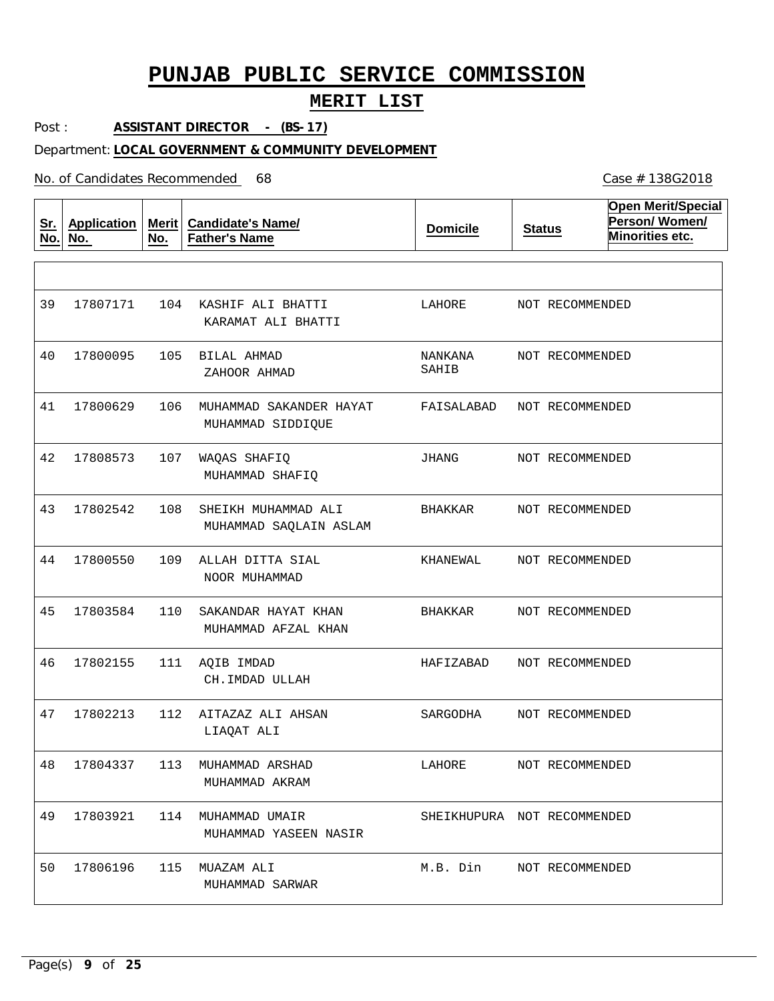### **MERIT LIST**

Post : **ASSISTANT DIRECTOR - (BS-17)**

#### Department: **LOCAL GOVERNMENT & COMMUNITY DEVELOPMENT**

No. of Candidates Recommended

**Sr. No. Application No. Merit No. Candidate's Name/ Father's Name Domicile Status Open Merit/Special Person/ Women/ Minorities etc.** 104 KASHIF ALI BHATTI 105 BILAL AHMAD 106 MUHAMMAD SAKANDER HAYAT 107 108 109 ALLAH DITTA SIAL 110 SAKANDAR HAYAT KHAN 111 AQIB IMDAD 112 AITAZAZ ALI AHSAN 113 MUHAMMAD ARSHAD 114 MUHAMMAD UMAIR 17803921 115 MUAZAM ALI WAQAS SHAFIQ SHEIKH MUHAMMAD ALI KARAMAT ALI BHATTI ZAHOOR AHMAD MUHAMMAD SIDDIQUE MUHAMMAD SHAFIQ MUHAMMAD SAQLAIN ASLAM NOOR MUHAMMAD MUHAMMAD AFZAL KHAN CH.IMDAD ULLAH LIAQAT ALI MUHAMMAD AKRAM MUHAMMAD YASEEN NASIR MUHAMMAD SARWAR 39 40 17800095 41 42 43 44 45 46 47 48 49 50 17807171 17800629 17808573 17802542 17800550 17803584 17802155 17802213 17804337 17806196 LAHORE NANKANA SAHIB FAISALABAD JHANG BHAKKAR KHANEWAL BHAKKAR HAFIZABAD SARGODHA LAHORE SHEIKHUPURA NOT RECOMMENDED M.B. Din NOT RECOMMENDED NOT RECOMMENDED NOT RECOMMENDED NOT RECOMMENDED NOT RECOMMENDED NOT RECOMMENDED NOT RECOMMENDED NOT RECOMMENDED NOT RECOMMENDED NOT RECOMMENDED NOT RECOMMENDED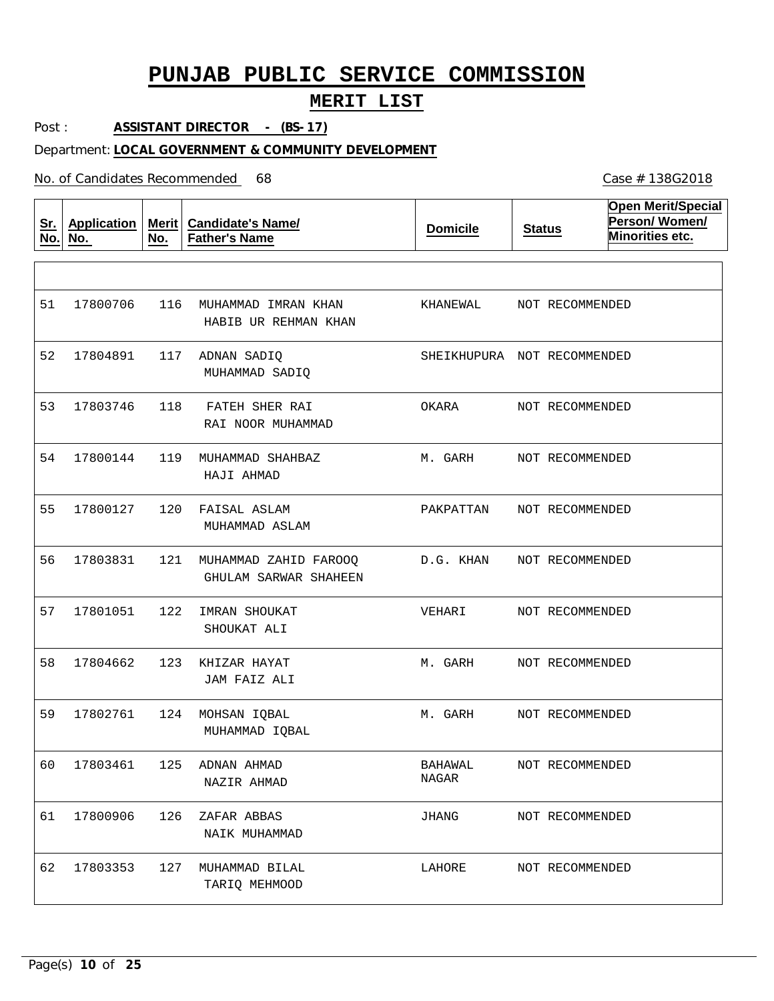### **MERIT LIST**

Post : **ASSISTANT DIRECTOR - (BS-17)**

#### Department: **LOCAL GOVERNMENT & COMMUNITY DEVELOPMENT**

No. of Candidates Recommended

**Sr. No. Application No. Merit No. Candidate's Name/ Father's Name Domicile Status Open Merit/Special Person/ Women/ Minorities etc.** 116 MUHAMMAD IMRAN KHAN 117 ADNAN SADIQ 118 119 MUHAMMAD SHAHBAZ 120 FAISAL ASLAM 121 MUHAMMAD ZAHID FAROOQ 122 IMRAN SHOUKAT 123 KHIZAR HAYAT 124 MOHSAN IQBAL 125 ADNAN AHMAD 126 ZAFAR ABBAS 127 MUHAMMAD BILAL FATEH SHER RAI HABIB UR REHMAN KHAN MUHAMMAD SADIQ RAI NOOR MUHAMMAD HAJI AHMAD MUHAMMAD ASLAM GHULAM SARWAR SHAHEEN SHOUKAT ALI JAM FAIZ ALI MUHAMMAD IQBAL NAZIR AHMAD NAIK MUHAMMAD TARIQ MEHMOOD 51 52 17804891 53 54 55 56 57 58 59 60 61 62 17800706 17803746 17800144 17800127 17803831 17801051 17804662 17802761 17803461 17800906 17803353 KHANEWAL SHEIKHUPURA NOT RECOMMENDED OKARA M. GARH PAKPATTAN D.G. KHAN VEHARI M. GARH M. GARH BAHAWAL NAGAR JHANG LAHORE NOT RECOMMENDED NOT RECOMMENDED NOT RECOMMENDED NOT RECOMMENDED NOT RECOMMENDED NOT RECOMMENDED NOT RECOMMENDED NOT RECOMMENDED NOT RECOMMENDED NOT RECOMMENDED NOT RECOMMENDED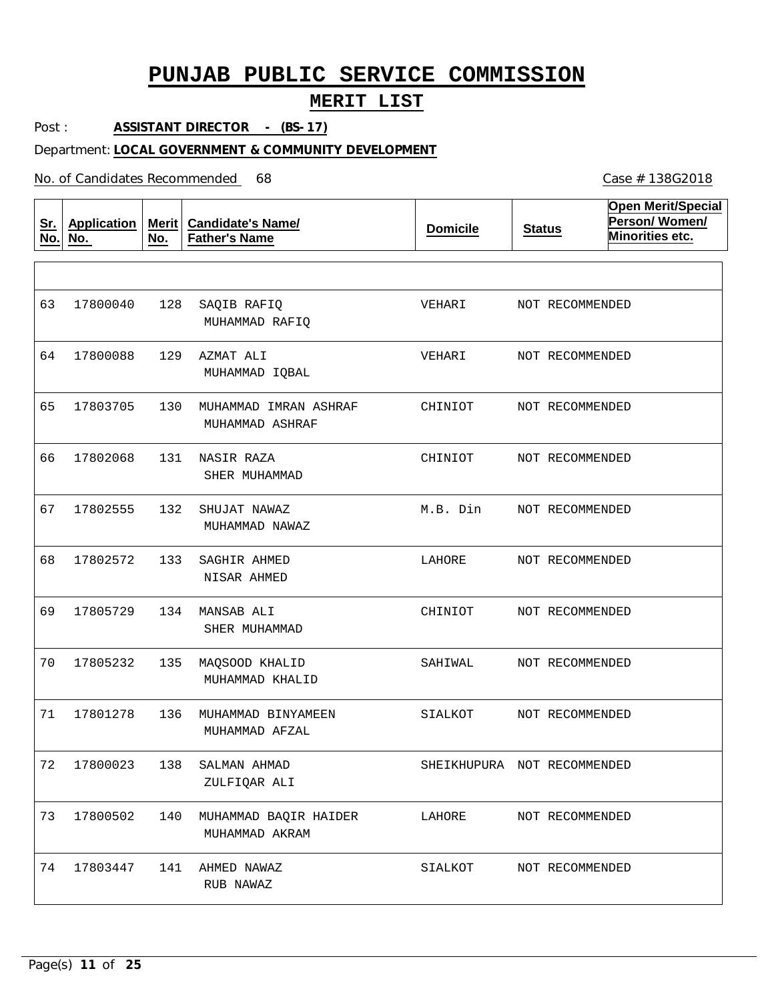### **MERIT LIST**

Post : **ASSISTANT DIRECTOR - (BS-17)**

#### Department: **LOCAL GOVERNMENT & COMMUNITY DEVELOPMENT**

No. of Candidates Recommended

**Sr. No. Application No. Merit No. Candidate's Name/ Father's Name Domicile Status Open Merit/Special Person/ Women/ Minorities etc.** 128 129 AZMAT ALI 130 MUHAMMAD IMRAN ASHRAF 131 NASIR RAZA 132 SHUJAT NAWAZ 133 134 MANSAB ALI 135 MAQSOOD KHALID 136 MUHAMMAD BINYAMEEN 138 SALMAN AHMAD 140 MUHAMMAD BAQIR HAIDER 141 AHMED NAWAZ SAQIB RAFIQ SAGHIR AHMED MUHAMMAD RAFIQ MUHAMMAD IQBAL MUHAMMAD ASHRAF SHER MUHAMMAD MUHAMMAD NAWAZ NISAR AHMED SHER MUHAMMAD MUHAMMAD KHALID MUHAMMAD AFZAL ZULFIQAR ALI MUHAMMAD AKRAM RUB NAWAZ 63 64 17800088 65 66 67 68 69 70 71 72 17800023 73 17800502 74 17800040 17803705 17802068 17802555 17802572 17805729 17805232 17801278 17803447 VEHARI VEHARI CHINIOT CHINIOT M.B. Din LAHORE CHINIOT SAHIWAL SIALKOT SHEIKHUPURA NOT RECOMMENDED LAHORE SIALKOT NOT RECOMMENDED NOT RECOMMENDED NOT RECOMMENDED NOT RECOMMENDED NOT RECOMMENDED NOT RECOMMENDED NOT RECOMMENDED NOT RECOMMENDED NOT RECOMMENDED NOT RECOMMENDED NOT RECOMMENDED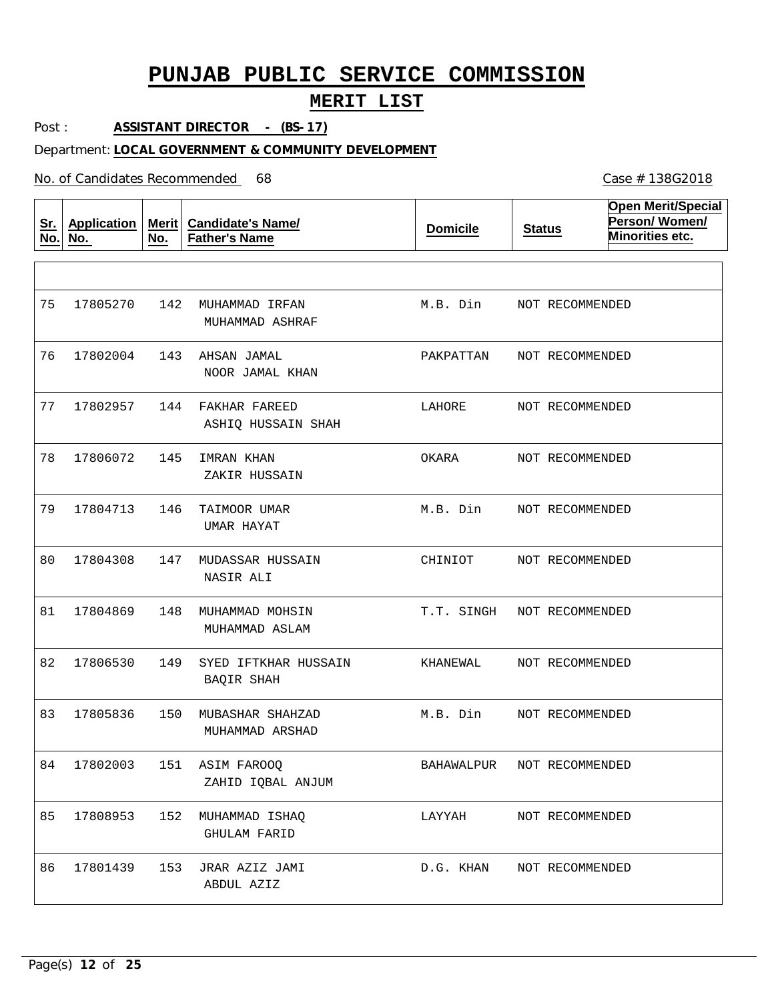### **MERIT LIST**

Post : **ASSISTANT DIRECTOR - (BS-17)**

#### Department: **LOCAL GOVERNMENT & COMMUNITY DEVELOPMENT**

No. of Candidates Recommended

| <u>Sr.</u><br>No. | <b>Application</b><br>No. | Merit $ $<br>No. | <b>Candidate's Name/</b><br><b>Father's Name</b> | <b>Domicile</b> | <b>Status</b>   | <b>Open Merit/Special</b><br>Person/Women/<br>Minorities etc. |
|-------------------|---------------------------|------------------|--------------------------------------------------|-----------------|-----------------|---------------------------------------------------------------|
|                   |                           |                  |                                                  |                 |                 |                                                               |
| 75                | 17805270                  | 142              | MUHAMMAD IRFAN<br>MUHAMMAD ASHRAF                | M.B. Din        | NOT RECOMMENDED |                                                               |
| 76                | 17802004                  | 143              | AHSAN JAMAL<br>NOOR JAMAL KHAN                   | PAKPATTAN       | NOT RECOMMENDED |                                                               |
| 77                | 17802957                  | 144              | FAKHAR FAREED<br>ASHIQ HUSSAIN SHAH              | LAHORE          | NOT RECOMMENDED |                                                               |
| 78                | 17806072                  | 145              | IMRAN KHAN<br>ZAKIR HUSSAIN                      | OKARA           | NOT RECOMMENDED |                                                               |
| 79                | 17804713                  | 146              | TAIMOOR UMAR<br>UMAR HAYAT                       | M.B. Din        | NOT RECOMMENDED |                                                               |
| 80                | 17804308                  | 147              | MUDASSAR HUSSAIN<br>NASIR ALI                    | CHINIOT         | NOT RECOMMENDED |                                                               |
| 81                | 17804869                  | 148              | MUHAMMAD MOHSIN<br>MUHAMMAD ASLAM                | T.T. SINGH      | NOT RECOMMENDED |                                                               |
| 82                | 17806530                  | 149              | SYED IFTKHAR HUSSAIN<br>BAQIR SHAH               | KHANEWAL        | NOT RECOMMENDED |                                                               |
| 83                | 17805836                  | 150              | MUBASHAR SHAHZAD<br>MUHAMMAD ARSHAD              | M.B. Din        | NOT RECOMMENDED |                                                               |
| 84                | 17802003                  |                  | 151 ASIM FAROOQ<br>ZAHID IQBAL ANJUM             | BAHAWALPUR      | NOT RECOMMENDED |                                                               |
| 85                | 17808953                  | 152              | MUHAMMAD ISHAQ<br><b>GHULAM FARID</b>            | LAYYAH          | NOT RECOMMENDED |                                                               |
| 86                | 17801439                  | 153              | JRAR AZIZ JAMI<br>ABDUL AZIZ                     | D.G. KHAN       | NOT RECOMMENDED |                                                               |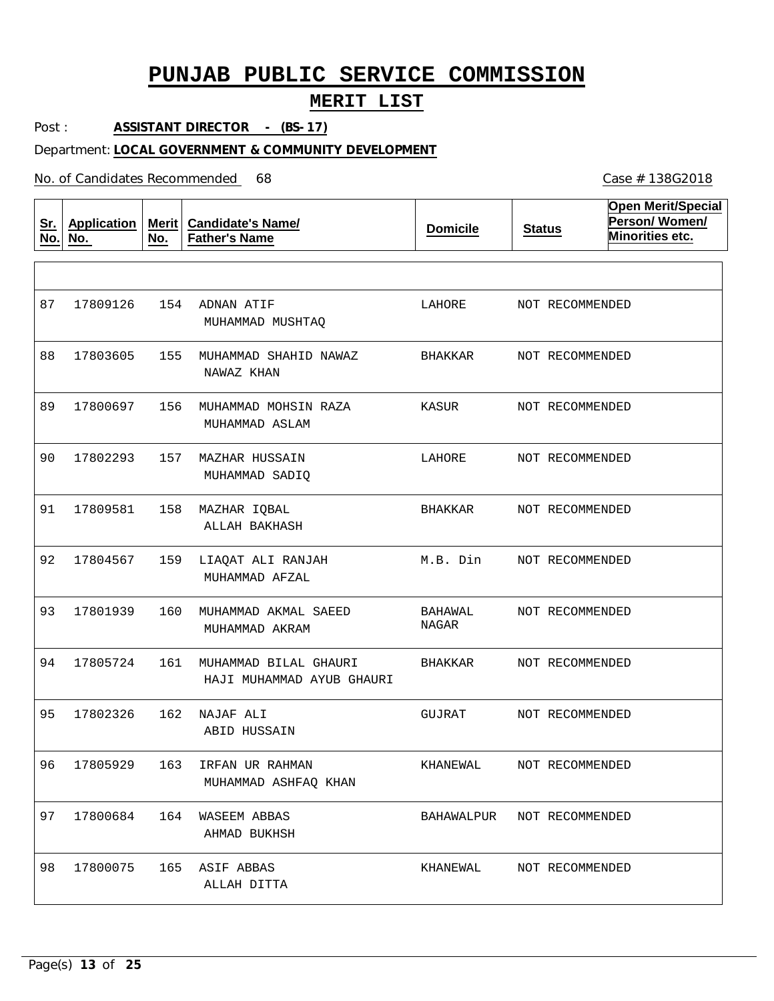### **MERIT LIST**

Post : **ASSISTANT DIRECTOR - (BS-17)**

#### Department: **LOCAL GOVERNMENT & COMMUNITY DEVELOPMENT**

No. of Candidates Recommended

**Sr. No. Application No. Merit No. Candidate's Name/ Father's Name Domicile Status Open Merit/Special Person/ Women/ Minorities etc.** 154 ADNAN ATIF 155 MUHAMMAD SHAHID NAWAZ 156 MUHAMMAD MOHSIN RAZA 157 MAZHAR HUSSAIN 158 MAZHAR IQBAL 159 LIAQAT ALI RANJAH 160 MUHAMMAD AKMAL SAEED 161 MUHAMMAD BILAL GHAURI 162 NAJAF ALI 163 IRFAN UR RAHMAN 164 WASEEM ABBAS 165 ASIF ABBAS MUHAMMAD MUSHTAQ NAWAZ KHAN MUHAMMAD ASLAM MUHAMMAD SADIQ ALLAH BAKHASH MUHAMMAD AFZAL MUHAMMAD AKRAM HAJI MUHAMMAD AYUB GHAURI ABID HUSSAIN MUHAMMAD ASHFAQ KHAN AHMAD BUKHSH ALLAH DITTA 87 88 17803605 89 90 91 92 93 94 95 96 97 17800684 98 17809126 17800697 17802293 17809581 17804567 17801939 17805724 17802326 17805929 17800075 LAHORE BHAKKAR KASUR LAHORE BHAKKAR M.B. Din BAHAWAL NAGAR BHAKKAR GUJRAT KHANEWAL BAHAWALPUR NOT RECOMMENDED KHANEWAL NOT RECOMMENDED NOT RECOMMENDED NOT RECOMMENDED NOT RECOMMENDED NOT RECOMMENDED NOT RECOMMENDED NOT RECOMMENDED NOT RECOMMENDED NOT RECOMMENDED NOT RECOMMENDED NOT RECOMMENDED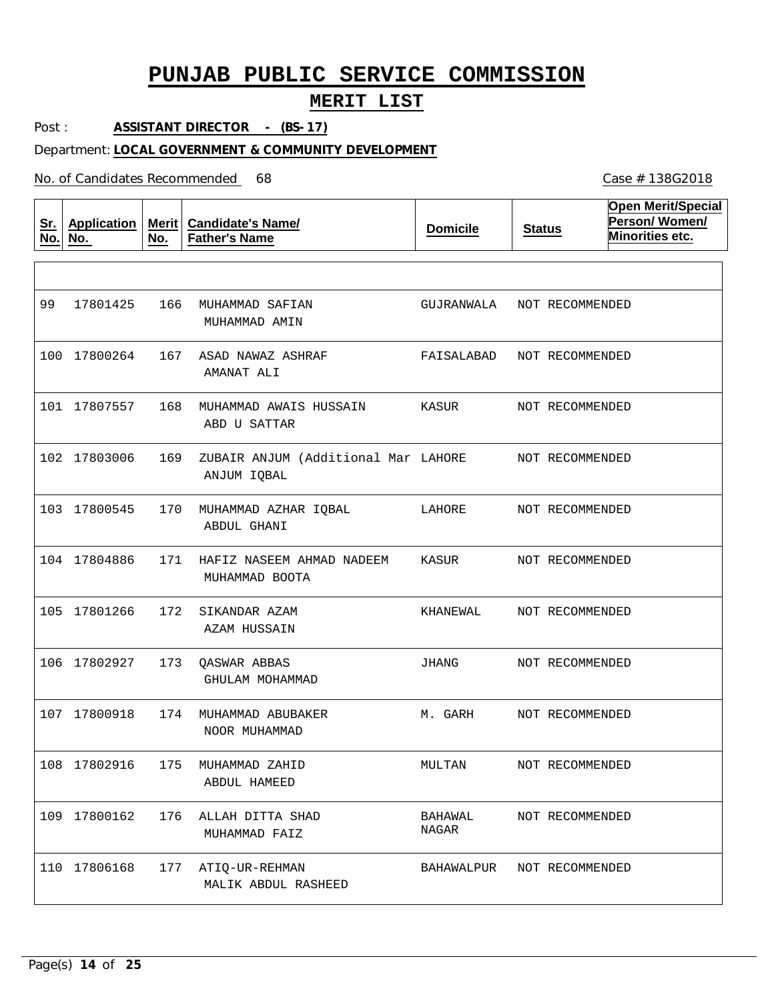### **MERIT LIST**

Post : **ASSISTANT DIRECTOR - (BS-17)**

#### Department: **LOCAL GOVERNMENT & COMMUNITY DEVELOPMENT**

No. of Candidates Recommended

**Sr. No. Application No. Merit No. Candidate's Name/ Father's Name Domicile Status Open Merit/Special Person/ Women/ Minorities etc.** 166 MUHAMMAD SAFIAN 167 ASAD NAWAZ ASHRAF 168 MUHAMMAD AWAIS HUSSAIN 169 170 MUHAMMAD AZHAR IQBAL 171 HAFIZ NASEEM AHMAD NADEEM 172 SIKANDAR AZAM 173 QASWAR ABBAS 174 MUHAMMAD ABUBAKER 175 MUHAMMAD ZAHID 176 ALLAH DITTA SHAD 177 ATIQ-UR-REHMAN ZUBAIR ANJUM (Additional Mar LAHORE MUHAMMAD AMIN AMANAT ALI ABD U SATTAR ANJUM IQBAL ABDUL GHANI MUHAMMAD BOOTA AZAM HUSSAIN GHULAM MOHAMMAD NOOR MUHAMMAD ABDUL HAMEED MUHAMMAD FAIZ MALIK ABDUL RASHEED 99 17801425 100 17800264 101 17807557 102 17803006 103 17800545 104 17804886 105 17801266 106 17802927 107 17800918 108 17802916 109 17800162 110 17806168 GUJRANWALA FAISALABAD NOT RECOMMENDED KASUR LAHORE KASUR KHANEWAL JHANG M. GARH MULTAN BAHAWAL NAGAR BAHAWALPUR NOT RECOMMENDED NOT RECOMMENDED NOT RECOMMENDED NOT RECOMMENDED NOT RECOMMENDED NOT RECOMMENDED NOT RECOMMENDED NOT RECOMMENDED NOT RECOMMENDED NOT RECOMMENDED NOT RECOMMENDED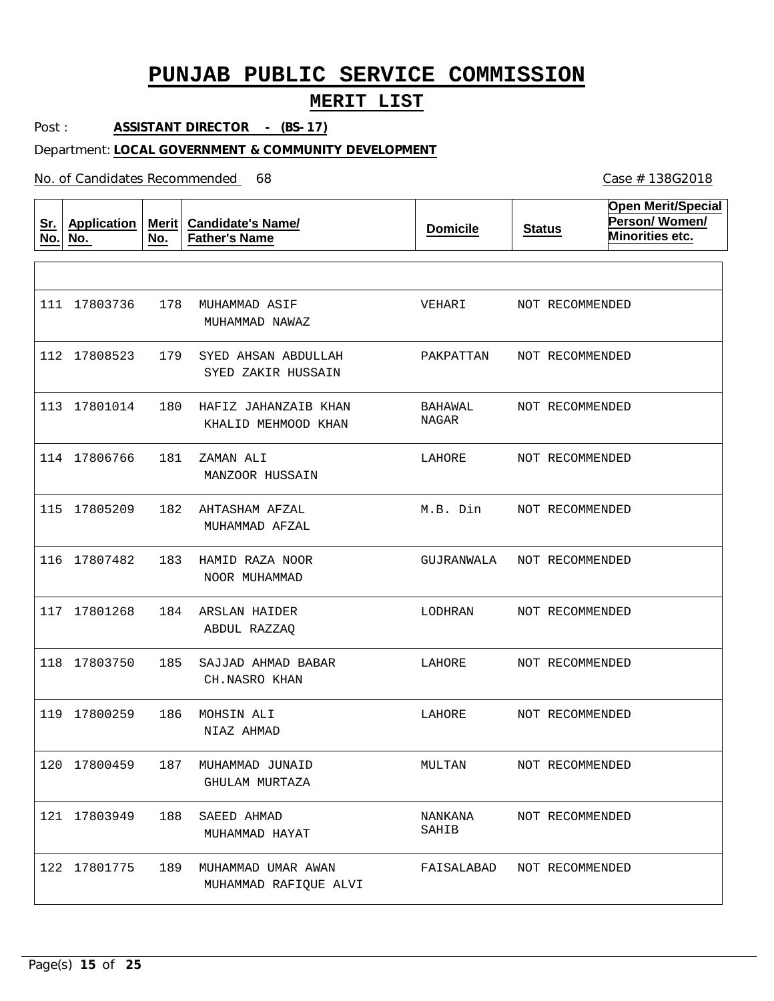### **MERIT LIST**

Post : **ASSISTANT DIRECTOR - (BS-17)**

#### Department: **LOCAL GOVERNMENT & COMMUNITY DEVELOPMENT**

No. of Candidates Recommended

**Sr. No. Application No. Merit No. Candidate's Name/ Father's Name Domicile Status Open Merit/Special Person/ Women/ Minorities etc.** 178 MUHAMMAD ASIF 179 180 HAFIZ JAHANZAIB KHAN 181 182 AHTASHAM AFZAL 183 HAMID RAZA NOOR 184 ARSLAN HAIDER 185 186 MOHSIN ALI 187 MUHAMMAD JUNAID 188 SAEED AHMAD 189 MUHAMMAD UMAR AWAN SYED AHSAN ABDULLAH ZAMAN ALI SAJJAD AHMAD BABAR MUHAMMAD NAWAZ SYED ZAKIR HUSSAIN KHALID MEHMOOD KHAN MANZOOR HUSSAIN MUHAMMAD AFZAL NOOR MUHAMMAD ABDUL RAZZAQ CH.NASRO KHAN NIAZ AHMAD GHULAM MURTAZA MUHAMMAD HAYAT MUHAMMAD RAFIQUE ALVI 111 17803736 112 17808523 113 17801014 114 17806766 115 17805209 116 17807482 117 17801268 118 17803750 119 17800259 120 17800459 121 17803949 122 17801775 VEHARI PAKPATTAN BAHAWAL NAGAR LAHORE M.B. Din GUJRANWALA LODHRAN LAHORE LAHORE MULTAN NANKANA SAHIB FAISALABAD NOT RECOMMENDED NOT RECOMMENDED NOT RECOMMENDED NOT RECOMMENDED NOT RECOMMENDED NOT RECOMMENDED NOT RECOMMENDED NOT RECOMMENDED NOT RECOMMENDED NOT RECOMMENDED NOT RECOMMENDED NOT RECOMMENDED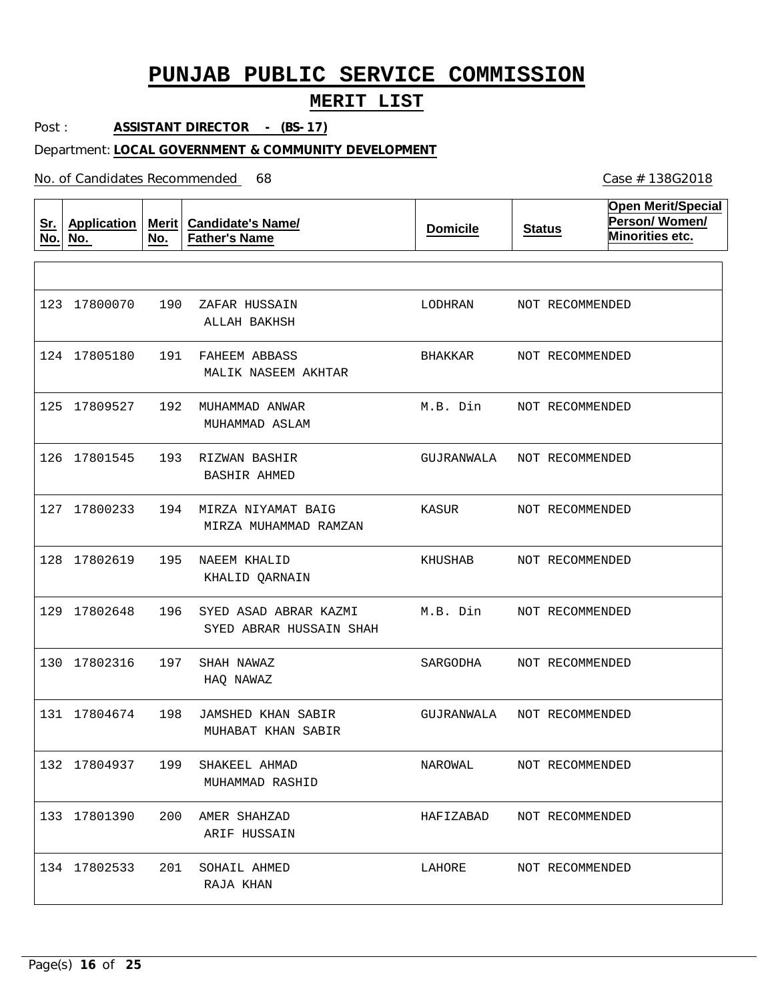### **MERIT LIST**

Post : **ASSISTANT DIRECTOR - (BS-17)**

#### Department: **LOCAL GOVERNMENT & COMMUNITY DEVELOPMENT**

No. of Candidates Recommended

**Sr. No. Application No. Merit No. Candidate's Name/ Father's Name Domicile Status Open Merit/Special Person/ Women/ Minorities etc.** 190 ZAFAR HUSSAIN 191 FAHEEM ABBASS 192 MUHAMMAD ANWAR 193 RIZWAN BASHIR 194 MIRZA NIYAMAT BAIG 195 NAEEM KHALID 196 SYED ASAD ABRAR KAZMI 197 198 JAMSHED KHAN SABIR 199 200 AMER SHAHZAD 201 SOHAIL AHMED SHAH NAWAZ SHAKEEL AHMAD ALLAH BAKHSH MALIK NASEEM AKHTAR MUHAMMAD ASLAM BASHIR AHMED MIRZA MUHAMMAD RAMZAN KHALID QARNAIN SYED ABRAR HUSSAIN SHAH HAQ NAWAZ MUHABAT KHAN SABIR MUHAMMAD RASHID ARIF HUSSAIN RAJA KHAN 123 17800070 124 17805180 125 17809527 126 17801545 127 17800233 128 17802619 129 17802648 130 17802316 131 17804674 132 17804937 133 17801390 134 17802533 LODHRAN BHAKKAR M.B. Din GUJRANWALA NOT RECOMMENDED KASUR KHUSHAB M.B. Din SARGODHA GUJRANWALA NAROWAL HAFIZABAD LAHORE NOT RECOMMENDED NOT RECOMMENDED NOT RECOMMENDED NOT RECOMMENDED NOT RECOMMENDED NOT RECOMMENDED NOT RECOMMENDED NOT RECOMMENDED NOT RECOMMENDED NOT RECOMMENDED NOT RECOMMENDED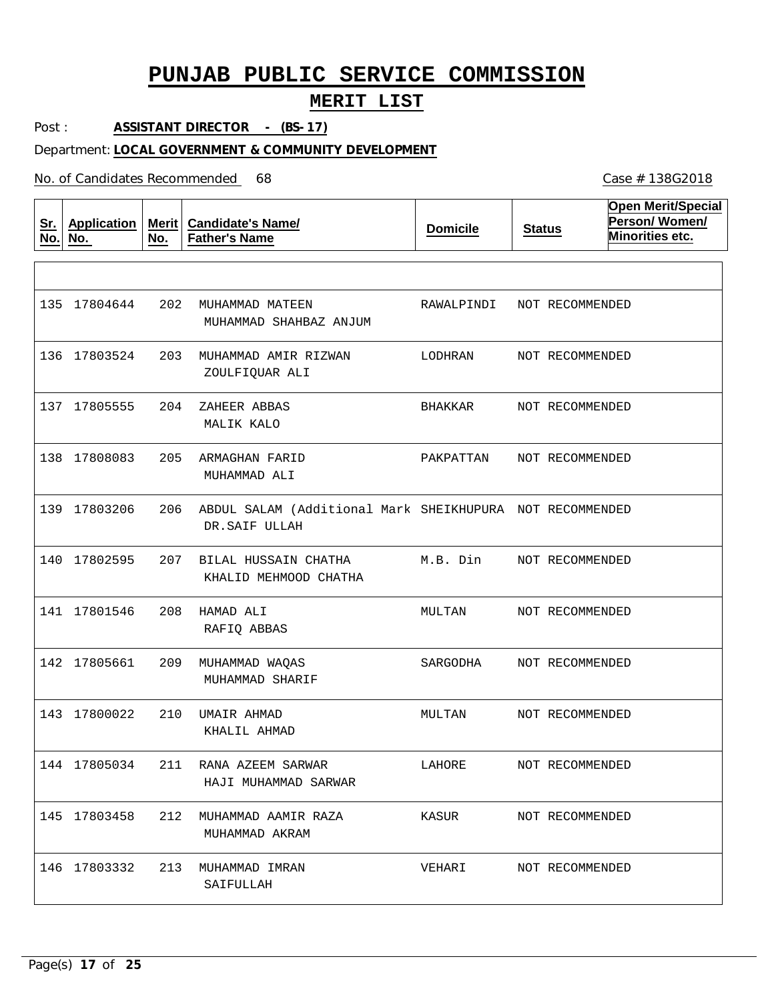### **MERIT LIST**

Post : **ASSISTANT DIRECTOR - (BS-17)**

#### Department: **LOCAL GOVERNMENT & COMMUNITY DEVELOPMENT**

No. of Candidates Recommended

**Sr. No. Application No. Merit No. Candidate's Name/ Father's Name Domicile Status Open Merit/Special Person/ Women/ Minorities etc.** 202 MUHAMMAD MATEEN 203 MUHAMMAD AMIR RIZWAN 204 205 ARMAGHAN FARID 206 ABDUL SALAM (Additional Mark SHEIKHUPURA NOT RECOMMENDED 207 BILAL HUSSAIN CHATHA 208 HAMAD ALI 209 MUHAMMAD WAQAS 210 UMAIR AHMAD 211 RANA AZEEM SARWAR 212 MUHAMMAD AAMIR RAZA 213 MUHAMMAD IMRAN ZAHEER ABBAS MUHAMMAD SHAHBAZ ANJUM ZOULFIQUAR ALI MALIK KALO MUHAMMAD ALI DR.SAIF ULLAH KHALID MEHMOOD CHATHA RAFIQ ABBAS MUHAMMAD SHARIF KHALIL AHMAD HAJI MUHAMMAD SARWAR MUHAMMAD AKRAM SAIFULLAH 135 17804644 136 17803524 137 17805555 138 17808083 139 17803206 140 17802595 141 17801546 142 17805661 143 17800022 144 17805034 145 17803458 146 17803332 RAWALPINDI LODHRAN BHAKKAR PAKPATTAN M.B. Din MULTAN SARGODHA MULTAN LAHORE KASUR VEHARI NOT RECOMMENDED NOT RECOMMENDED NOT RECOMMENDED NOT RECOMMENDED NOT RECOMMENDED NOT RECOMMENDED NOT RECOMMENDED NOT RECOMMENDED NOT RECOMMENDED NOT RECOMMENDED NOT RECOMMENDED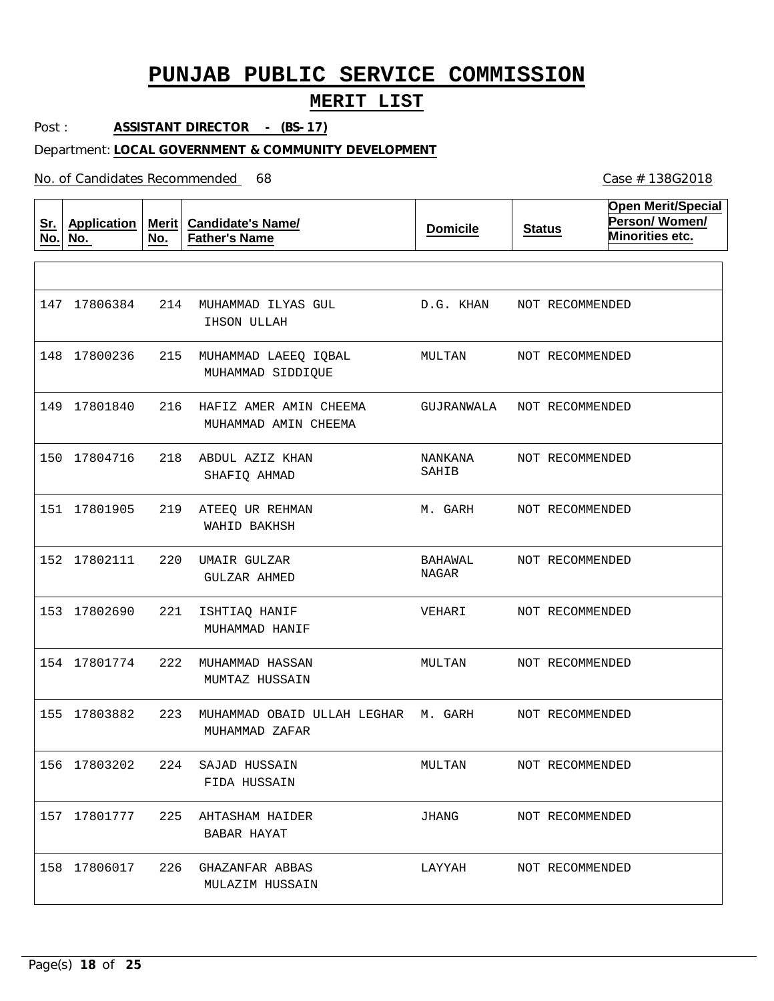### **MERIT LIST**

Post : **ASSISTANT DIRECTOR - (BS-17)**

#### Department: **LOCAL GOVERNMENT & COMMUNITY DEVELOPMENT**

No. of Candidates Recommended

**Sr. No. Application No. Merit No. Candidate's Name/ Father's Name Domicile Status Open Merit/Special Person/ Women/ Minorities etc.** 214 MUHAMMAD ILYAS GUL 215 MUHAMMAD LAEEQ IQBAL 216 HAFIZ AMER AMIN CHEEMA 218 ABDUL AZIZ KHAN 219 ATEEQ UR REHMAN 220 UMAIR GULZAR 221 ISHTIAQ HANIF 222 MUHAMMAD HASSAN 223 MUHAMMAD OBAID ULLAH LEGHAR M. GARH 224 SAJAD HUSSAIN 225 AHTASHAM HAIDER 226 GHAZANFAR ABBAS IHSON ULLAH MUHAMMAD SIDDIQUE MUHAMMAD AMIN CHEEMA SHAFIQ AHMAD WAHID BAKHSH GULZAR AHMED MUHAMMAD HANIF MUMTAZ HUSSAIN MUHAMMAD ZAFAR FIDA HUSSAIN BABAR HAYAT MULAZIM HUSSAIN 147 17806384 148 17800236 149 17801840 150 17804716 151 17801905 152 17802111 153 17802690 154 17801774 155 17803882 156 17803202 157 17801777 158 17806017 D.G. KHAN MULTAN GUJRANWALA NANKANA SAHIB M. GARH BAHAWAL NAGAR VEHARI MULTAN MULTAN JHANG LAYYAH NOT RECOMMENDED NOT RECOMMENDED NOT RECOMMENDED NOT RECOMMENDED NOT RECOMMENDED NOT RECOMMENDED NOT RECOMMENDED NOT RECOMMENDED NOT RECOMMENDED NOT RECOMMENDED NOT RECOMMENDED NOT RECOMMENDED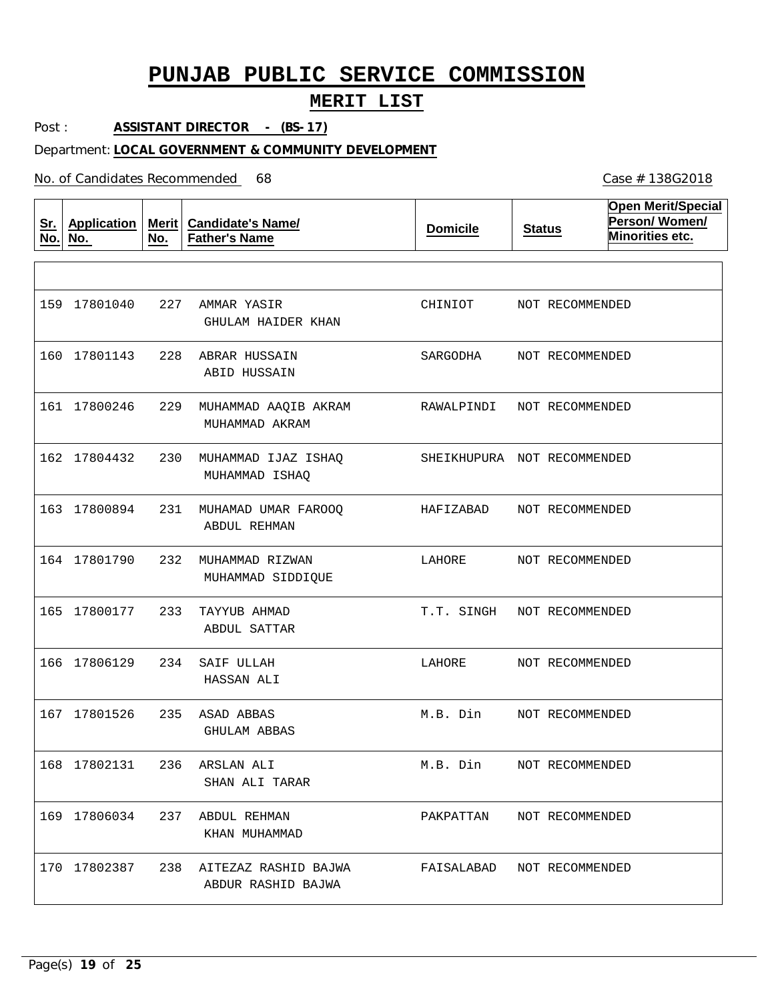### **MERIT LIST**

Post : **ASSISTANT DIRECTOR - (BS-17)**

#### Department: **LOCAL GOVERNMENT & COMMUNITY DEVELOPMENT**

No. of Candidates Recommended

**Sr. No. Application No. Merit Candidate's Name/ No. Father's Name Domicile Status Open Merit/Special Person/ Women/ Minorities etc.** 227 AMMAR YASIR 228 ABRAR HUSSAIN 229 MUHAMMAD AAQIB AKRAM 230 MUHAMMAD IJAZ ISHAQ 231 MUHAMAD UMAR FAROOQ 232 MUHAMMAD RIZWAN 233 TAYYUB AHMAD 234 SAIF ULLAH 235 ASAD ABBAS 236 ARSLAN ALI 237 ABDUL REHMAN 238 AITEZAZ RASHID BAJWA GHULAM HAIDER KHAN ABID HUSSAIN MUHAMMAD AKRAM MUHAMMAD ISHAQ ABDUL REHMAN MUHAMMAD SIDDIQUE ABDUL SATTAR HASSAN ALI GHULAM ABBAS SHAN ALI TARAR KHAN MUHAMMAD ABDUR RASHID BAJWA 159 17801040 160 17801143 161 17800246 162 17804432 163 17800894 164 17801790 165 17800177 166 17806129 167 17801526 168 17802131 169 17806034 170 17802387 CHINIOT SARGODHA RAWALPINDI SHEIKHUPURA NOT RECOMMENDED HAFIZABAD LAHORE T.T. SINGH NOT RECOMMENDED LAHORE M.B. Din M.B. Din PAKPATTAN FAISALABAD NOT RECOMMENDEDNOT RECOMMENDED NOT RECOMMENDED NOT RECOMMENDED NOT RECOMMENDED NOT RECOMMENDED NOT RECOMMENDED NOT RECOMMENDED NOT RECOMMENDED NOT RECOMMENDED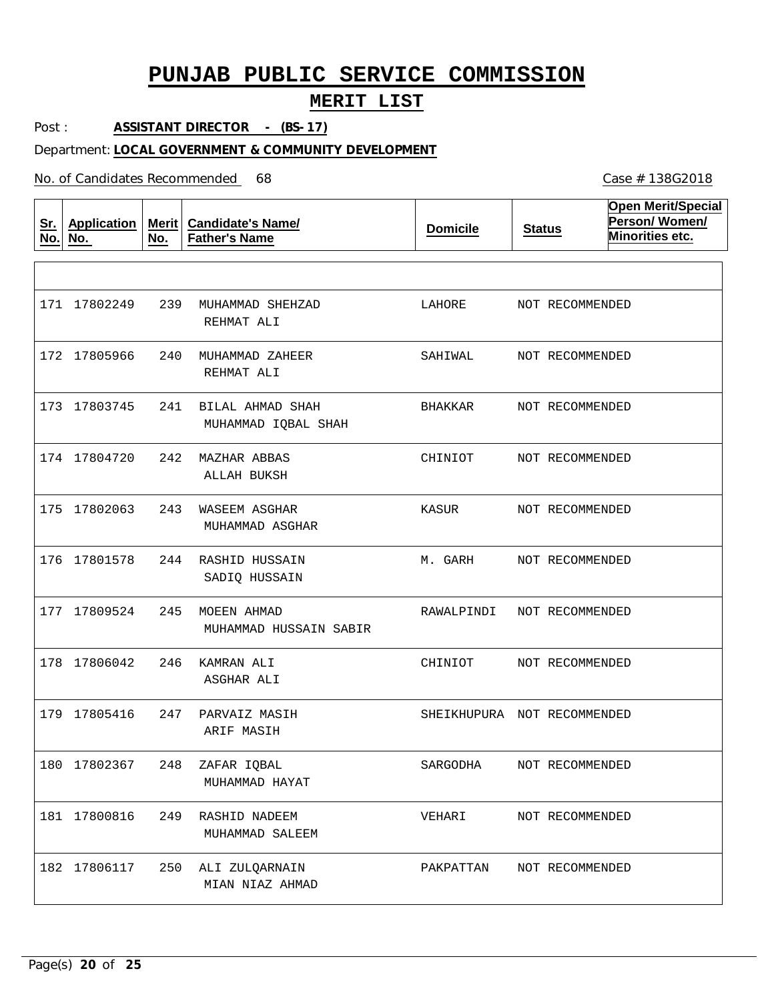### **MERIT LIST**

Post : **ASSISTANT DIRECTOR - (BS-17)**

#### Department: **LOCAL GOVERNMENT & COMMUNITY DEVELOPMENT**

No. of Candidates Recommended

| <u>Sr.</u><br>No. | <b>Application</b><br>No. | No. | Merit   Candidate's Name/<br><b>Father's Name</b> | <b>Domicile</b>             | <b>Status</b>   | <b>Open Merit/Special</b><br>Person/Women/<br>Minorities etc. |
|-------------------|---------------------------|-----|---------------------------------------------------|-----------------------------|-----------------|---------------------------------------------------------------|
|                   |                           |     |                                                   |                             |                 |                                                               |
|                   | 171 17802249              | 239 | MUHAMMAD SHEHZAD<br>REHMAT ALI                    | LAHORE                      | NOT RECOMMENDED |                                                               |
|                   | 172 17805966              | 240 | MUHAMMAD ZAHEER<br>REHMAT ALI                     | SAHIWAL                     | NOT RECOMMENDED |                                                               |
|                   | 173 17803745              | 241 | BILAL AHMAD SHAH<br>MUHAMMAD IQBAL SHAH           | BHAKKAR                     | NOT RECOMMENDED |                                                               |
|                   | 174 17804720              | 242 | MAZHAR ABBAS<br>ALLAH BUKSH                       | CHINIOT                     | NOT RECOMMENDED |                                                               |
|                   | 175 17802063              | 243 | WASEEM ASGHAR<br>MUHAMMAD ASGHAR                  | KASUR                       | NOT RECOMMENDED |                                                               |
|                   | 176 17801578              | 244 | RASHID HUSSAIN<br>SADIQ HUSSAIN                   | M. GARH                     | NOT RECOMMENDED |                                                               |
|                   | 177 17809524              | 245 | MOEEN AHMAD<br>MUHAMMAD HUSSAIN SABIR             | RAWALPINDI                  | NOT RECOMMENDED |                                                               |
|                   | 178 17806042              | 246 | KAMRAN ALI<br>ASGHAR ALI                          | CHINIOT                     | NOT RECOMMENDED |                                                               |
|                   | 179 17805416              | 247 | PARVAIZ MASIH<br>ARIF MASIH                       | SHEIKHUPURA NOT RECOMMENDED |                 |                                                               |
|                   | 180 17802367              | 248 | ZAFAR IOBAL<br>MUHAMMAD HAYAT                     | SARGODHA                    | NOT RECOMMENDED |                                                               |
|                   | 181 17800816              | 249 | RASHID NADEEM<br>MUHAMMAD SALEEM                  | VEHARI                      | NOT RECOMMENDED |                                                               |
|                   | 182 17806117              | 250 | ALI ZULQARNAIN<br>MIAN NIAZ AHMAD                 | PAKPATTAN                   | NOT RECOMMENDED |                                                               |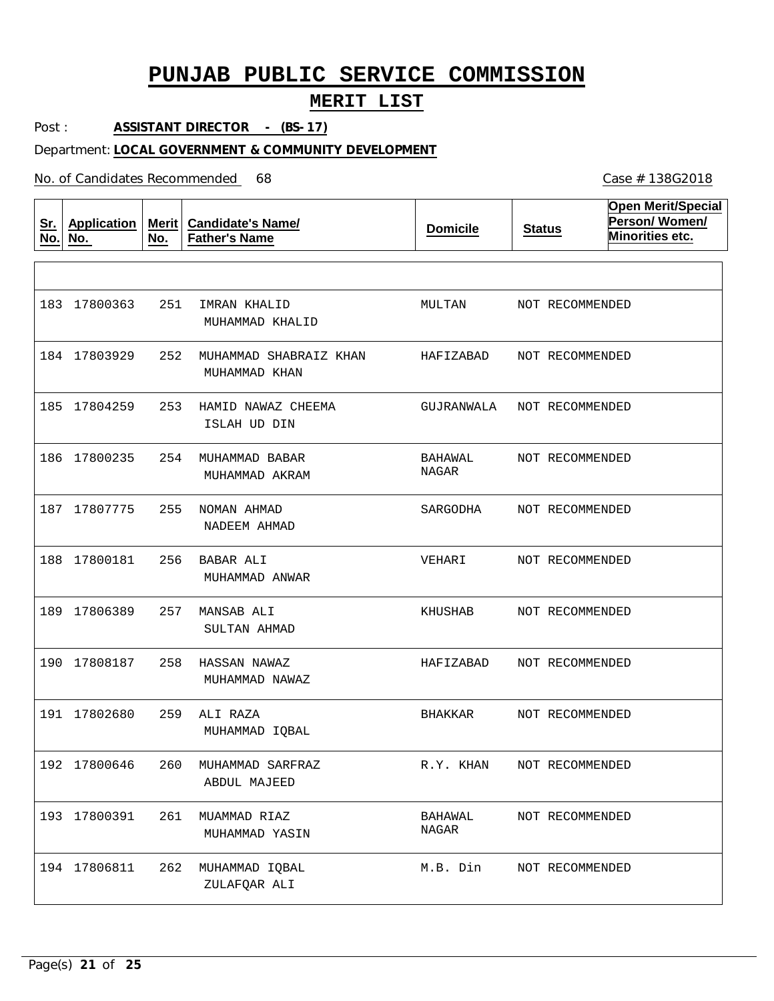### **MERIT LIST**

Post : **ASSISTANT DIRECTOR - (BS-17)**

#### Department: **LOCAL GOVERNMENT & COMMUNITY DEVELOPMENT**

No. of Candidates Recommended

**Sr. No. Application No. Merit No. Candidate's Name/ Father's Name Domicile Status Open Merit/Special Person/ Women/ Minorities etc.** 251 IMRAN KHALID 252 MUHAMMAD SHABRAIZ KHAN 253 HAMID NAWAZ CHEEMA 254 MUHAMMAD BABAR 255 NOMAN AHMAD 256 BABAR ALI 257 MANSAB ALI 258 HASSAN NAWAZ 259 ALI RAZA 260 MUHAMMAD SARFRAZ 261 MUAMMAD RIAZ 262 MUHAMMAD IQBAL MUHAMMAD KHALID MUHAMMAD KHAN ISLAH UD DIN MUHAMMAD AKRAM NADEEM AHMAD MUHAMMAD ANWAR SULTAN AHMAD MUHAMMAD NAWAZ MUHAMMAD IQBAL ABDUL MAJEED MUHAMMAD YASIN ZULAFQAR ALI 183 17800363 184 17803929 185 17804259 186 17800235 187 17807775 188 17800181 189 17806389 190 17808187 191 17802680 192 17800646 193 17800391 194 17806811 MULTAN HAFIZABAD GUJRANWALA BAHAWAL NAGAR SARGODHA VEHARI KHUSHAB HAFIZABAD BHAKKAR R.Y. KHAN BAHAWAL NAGAR M.B. Din NOT RECOMMENDED NOT RECOMMENDED NOT RECOMMENDED NOT RECOMMENDED NOT RECOMMENDED NOT RECOMMENDED NOT RECOMMENDED NOT RECOMMENDED NOT RECOMMENDED NOT RECOMMENDED NOT RECOMMENDED NOT RECOMMENDED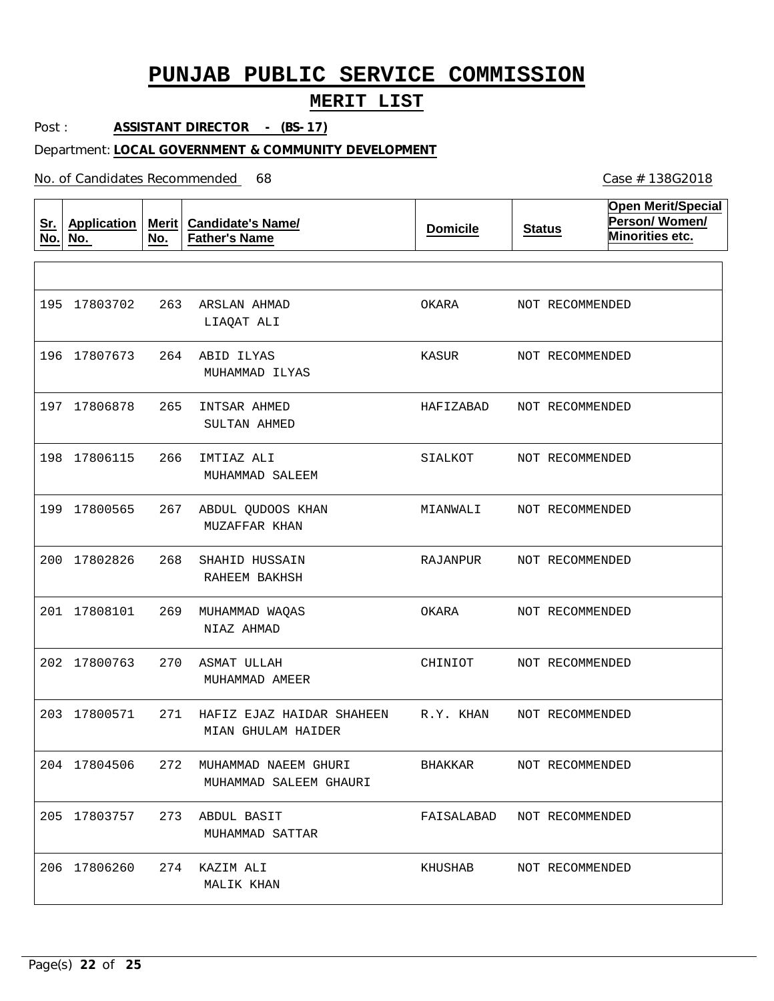### **MERIT LIST**

Post : **ASSISTANT DIRECTOR - (BS-17)**

#### Department: **LOCAL GOVERNMENT & COMMUNITY DEVELOPMENT**

No. of Candidates Recommended

**Sr. No. Application No. Merit No. Candidate's Name/ Father's Name Domicile Status Open Merit/Special Person/ Women/ Minorities etc.** 263 ARSLAN AHMAD 264 ABID ILYAS 265 INTSAR AHMED 266 IMTIAZ ALI 267 ABDUL QUDOOS KHAN 268 269 MUHAMMAD WAQAS 270 ASMAT ULLAH 271 HAFIZ EJAZ HAIDAR SHAHEEN 272 MUHAMMAD NAEEM GHURI 273 ABDUL BASIT 274 KAZIM ALI SHAHID HUSSAIN LIAQAT ALI MUHAMMAD ILYAS SULTAN AHMED MUHAMMAD SALEEM MUZAFFAR KHAN RAHEEM BAKHSH NIAZ AHMAD MUHAMMAD AMEER MIAN GHULAM HAIDER MUHAMMAD SALEEM GHAURI MUHAMMAD SATTAR MALIK KHAN 195 17803702 196 17807673 197 17806878 198 17806115 199 17800565 200 17802826 201 17808101 202 17800763 203 17800571 204 17804506 205 17803757 206 17806260 OKARA KASUR HAFIZABAD SIALKOT MIANWALI RAJANPUR OKARA CHINIOT R.Y. KHAN BHAKKAR FAISALABAD NOT RECOMMENDED KHUSHAB NOT RECOMMENDED NOT RECOMMENDED NOT RECOMMENDED NOT RECOMMENDED NOT RECOMMENDED NOT RECOMMENDED NOT RECOMMENDED NOT RECOMMENDED NOT RECOMMENDED NOT RECOMMENDED NOT RECOMMENDED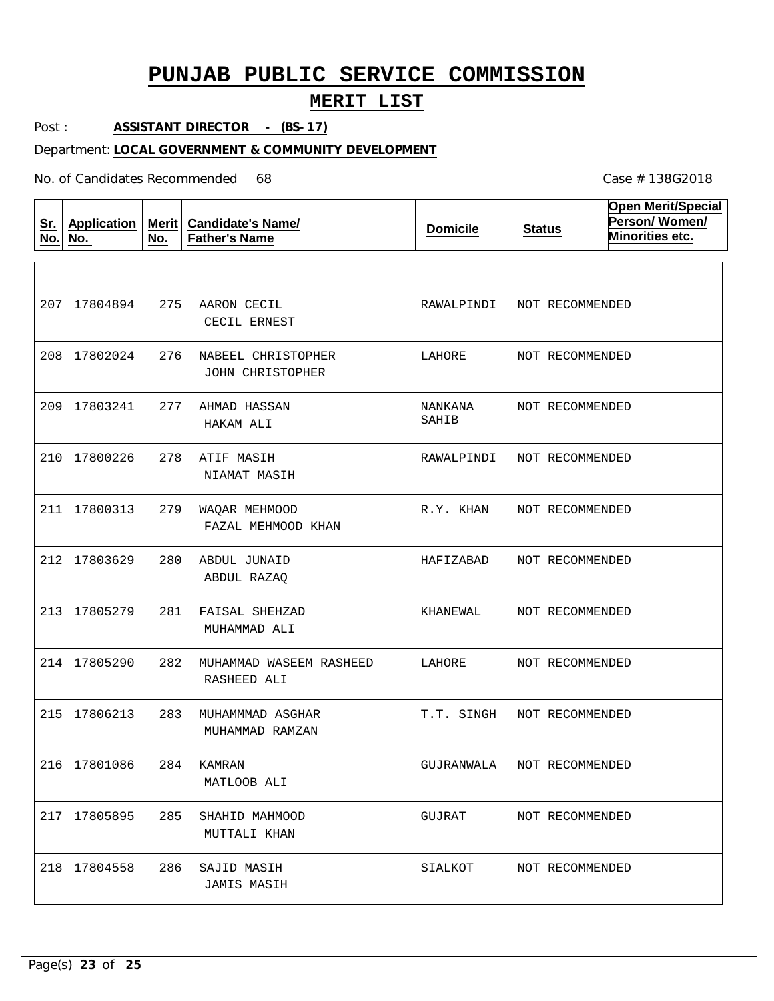### **MERIT LIST**

Post : **ASSISTANT DIRECTOR - (BS-17)**

#### Department: **LOCAL GOVERNMENT & COMMUNITY DEVELOPMENT**

No. of Candidates Recommended

| <u>Sr.</u><br>No. | <b>Application</b><br>No. | Merit $ $<br>No. | <b>Candidate's Name/</b><br><b>Father's Name</b> | <b>Domicile</b>  | <b>Status</b>   | <b>Open Merit/Special</b><br>Person/Women/<br>Minorities etc. |
|-------------------|---------------------------|------------------|--------------------------------------------------|------------------|-----------------|---------------------------------------------------------------|
|                   |                           |                  |                                                  |                  |                 |                                                               |
| 207               | 17804894                  | 275              | AARON CECIL<br>CECIL ERNEST                      | RAWALPINDI       | NOT RECOMMENDED |                                                               |
|                   | 208 17802024              | 276              | NABEEL CHRISTOPHER<br><b>JOHN CHRISTOPHER</b>    | LAHORE           | NOT RECOMMENDED |                                                               |
| 209               | 17803241                  | 277              | AHMAD HASSAN<br>HAKAM ALI                        | NANKANA<br>SAHIB | NOT RECOMMENDED |                                                               |
| 210               | 17800226                  | 278              | ATIF MASIH<br>NIAMAT MASIH                       | RAWALPINDI       | NOT RECOMMENDED |                                                               |
|                   | 211 17800313              | 279              | WAQAR MEHMOOD<br>FAZAL MEHMOOD KHAN              | R.Y. KHAN        | NOT RECOMMENDED |                                                               |
|                   | 212 17803629              | 280              | ABDUL JUNAID<br>ABDUL RAZAQ                      | HAFIZABAD        | NOT RECOMMENDED |                                                               |
|                   | 213 17805279              | 281              | FAISAL SHEHZAD<br>MUHAMMAD ALI                   | KHANEWAL         | NOT RECOMMENDED |                                                               |
|                   | 214 17805290              | 282              | MUHAMMAD WASEEM RASHEED<br>RASHEED ALI           | LAHORE           | NOT RECOMMENDED |                                                               |
|                   | 215 17806213              | 283              | MUHAMMMAD ASGHAR<br>MUHAMMAD RAMZAN              | T.T. SINGH       | NOT RECOMMENDED |                                                               |
|                   | 216 17801086              | 284              | KAMRAN<br>MATLOOB ALI                            | GUJRANWALA       | NOT RECOMMENDED |                                                               |
|                   | 217 17805895              | 285              | SHAHID MAHMOOD<br>MUTTALI KHAN                   | GUJRAT           | NOT RECOMMENDED |                                                               |
|                   | 218 17804558              | 286              | SAJID MASIH<br><b>JAMIS MASIH</b>                | SIALKOT          | NOT RECOMMENDED |                                                               |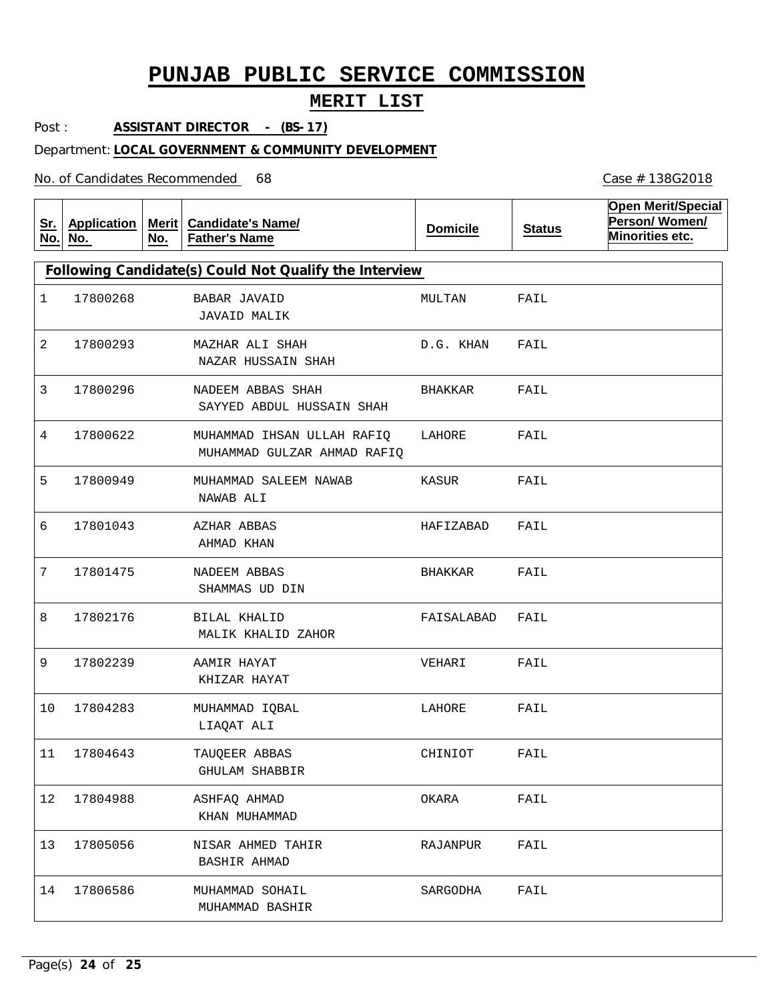### **MERIT LIST**

Post : **ASSISTANT DIRECTOR - (BS-17)**

#### Department: **LOCAL GOVERNMENT & COMMUNITY DEVELOPMENT**

No. of Candidates Recommended

| <u>Sr.</u><br>No. | <b>Application</b><br>No. | No. | Merit   Candidate's Name/<br><b>Father's Name</b>         | <b>Domicile</b> | <b>Status</b> | <b>Open Merit/Special</b><br>Person/Women/<br>Minorities etc. |
|-------------------|---------------------------|-----|-----------------------------------------------------------|-----------------|---------------|---------------------------------------------------------------|
|                   |                           |     | Following Candidate(s) Could Not Qualify the Interview    |                 |               |                                                               |
| 1                 | 17800268                  |     | <b>BABAR JAVAID</b><br>JAVAID MALIK                       | MULTAN          | FAIL          |                                                               |
| 2                 | 17800293                  |     | MAZHAR ALI SHAH<br>NAZAR HUSSAIN SHAH                     | D.G. KHAN       | FAIL          |                                                               |
| 3                 | 17800296                  |     | NADEEM ABBAS SHAH<br>SAYYED ABDUL HUSSAIN SHAH            | BHAKKAR         | FAIL          |                                                               |
| 4                 | 17800622                  |     | MUHAMMAD IHSAN ULLAH RAFIQ<br>MUHAMMAD GULZAR AHMAD RAFIQ | LAHORE          | FAIL          |                                                               |
| 5                 | 17800949                  |     | MUHAMMAD SALEEM NAWAB<br>NAWAB ALI                        | KASUR           | FAIL          |                                                               |
| 6                 | 17801043                  |     | AZHAR ABBAS<br>AHMAD KHAN                                 | HAFIZABAD       | FAIL          |                                                               |
| 7                 | 17801475                  |     | NADEEM ABBAS<br>SHAMMAS UD DIN                            | BHAKKAR         | FAIL          |                                                               |
| 8                 | 17802176                  |     | BILAL KHALID<br>MALIK KHALID ZAHOR                        | FAISALABAD      | FAIL          |                                                               |
| 9                 | 17802239                  |     | AAMIR HAYAT<br>KHIZAR HAYAT                               | VEHARI          | FAIL          |                                                               |
| 10                | 17804283                  |     | MUHAMMAD IQBAL<br>LIAQAT ALI                              | LAHORE          | FAIL          |                                                               |
| 11                | 17804643                  |     | TAUQEER ABBAS<br><b>GHULAM SHABBIR</b>                    | CHINIOT         | FAIL          |                                                               |
| 12                | 17804988                  |     | ASHFAQ AHMAD<br>KHAN MUHAMMAD                             | OKARA           | FAIL          |                                                               |
| 13                | 17805056                  |     | NISAR AHMED TAHIR<br><b>BASHIR AHMAD</b>                  | RAJANPUR        | FAIL          |                                                               |
| 14                | 17806586                  |     | MUHAMMAD SOHAIL<br>MUHAMMAD BASHIR                        | SARGODHA        | FAIL          |                                                               |